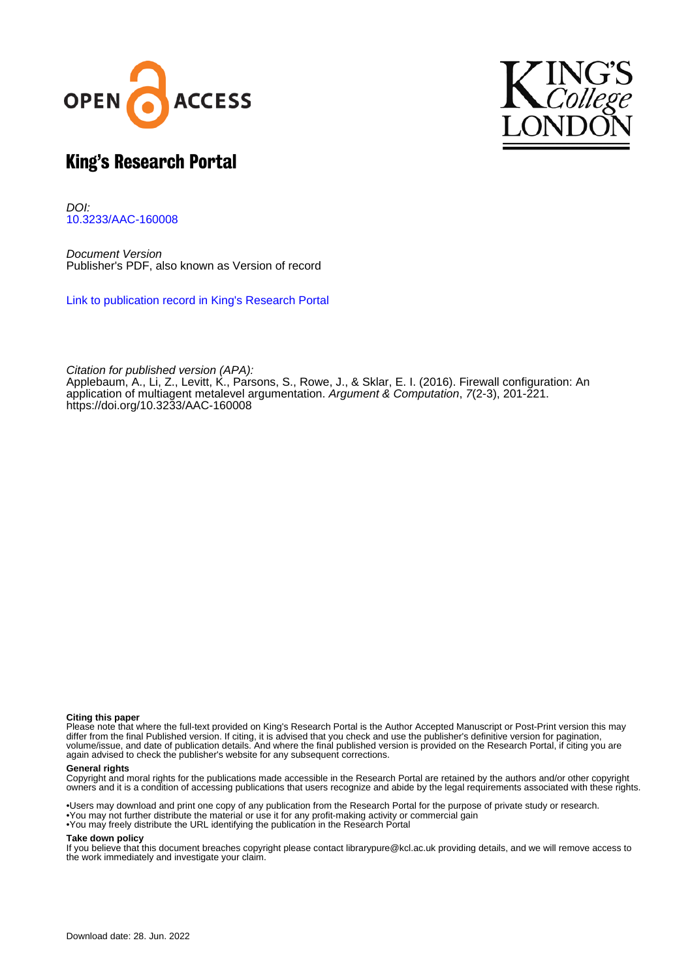



## King's Research Portal

DOI: [10.3233/AAC-160008](https://doi.org/10.3233/AAC-160008)

Document Version Publisher's PDF, also known as Version of record

[Link to publication record in King's Research Portal](https://kclpure.kcl.ac.uk/portal/en/publications/firewall-configuration(ead06a16-e01b-4d5e-ac58-72a30d2c88ec).html)

Citation for published version (APA): Applebaum, A., Li, Z., Levitt, K.[, Parsons, S.](https://kclpure.kcl.ac.uk/portal/en/persons/simon-parsons(02e18128-086e-4183-af44-c2c22fb8f0b5).html), Rowe, J.[, & Sklar, E. I.](https://kclpure.kcl.ac.uk/portal/en/persons/elizabeth-sklar(4c0e1617-2616-4c4e-84c4-befc66b8383e).html) (2016). [Firewall configuration: An](https://kclpure.kcl.ac.uk/portal/en/publications/firewall-configuration(ead06a16-e01b-4d5e-ac58-72a30d2c88ec).html) [application of multiagent metalevel argumentation](https://kclpure.kcl.ac.uk/portal/en/publications/firewall-configuration(ead06a16-e01b-4d5e-ac58-72a30d2c88ec).html). [Argument & Computation](https://kclpure.kcl.ac.uk/portal/en/journals/argument--computation(5f92b292-7b04-41dc-914e-b1c047644f6e).html), 7(2-3), 201-221. <https://doi.org/10.3233/AAC-160008>

#### **Citing this paper**

Please note that where the full-text provided on King's Research Portal is the Author Accepted Manuscript or Post-Print version this may differ from the final Published version. If citing, it is advised that you check and use the publisher's definitive version for pagination, volume/issue, and date of publication details. And where the final published version is provided on the Research Portal, if citing you are again advised to check the publisher's website for any subsequent corrections.

#### **General rights**

Copyright and moral rights for the publications made accessible in the Research Portal are retained by the authors and/or other copyright owners and it is a condition of accessing publications that users recognize and abide by the legal requirements associated with these rights.

•Users may download and print one copy of any publication from the Research Portal for the purpose of private study or research. •You may not further distribute the material or use it for any profit-making activity or commercial gain •You may freely distribute the URL identifying the publication in the Research Portal

#### **Take down policy**

If you believe that this document breaches copyright please contact librarypure@kcl.ac.uk providing details, and we will remove access to the work immediately and investigate your claim.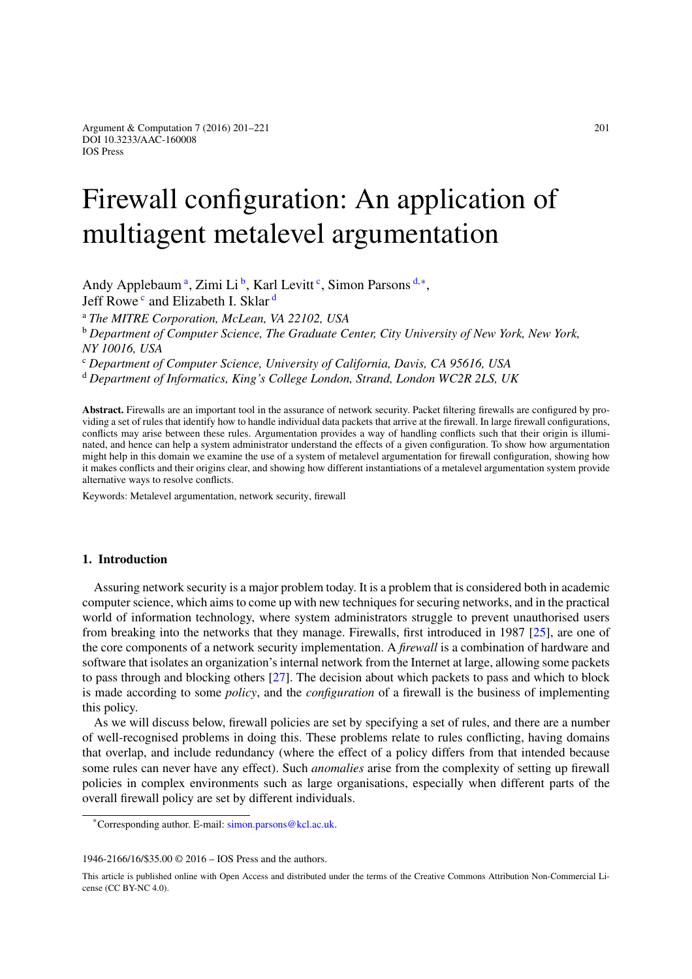# Firewall configuration: An application of multiagent metalevel argumentation

<span id="page-1-1"></span><span id="page-1-0"></span>Andy Appleb[a](#page-1-0)um<sup>a</sup>, Zimi Li<sup>b</sup>, Karl Levitt<sup>[c](#page-1-2)</sup>, Simon Parsons<sup>[d](#page-1-3),[∗](#page-1-4)</sup>, Jeff Rowe<sup>[c](#page-1-2)</sup> an[d](#page-1-3) Elizabeth I. Sklar<sup>d</sup> <sup>a</sup> *The MITRE Corporation, McLean, VA 22102, USA* <sup>b</sup> *Department of Computer Science, The Graduate Center, City University of New York, New York, NY 10016, USA* <sup>c</sup> *Department of Computer Science, University of California, Davis, CA 95616, USA* <sup>d</sup> *Department of Informatics, King's College London, Strand, London WC2R 2LS, UK*

<span id="page-1-3"></span><span id="page-1-2"></span>**Abstract.** Firewalls are an important tool in the assurance of network security. Packet filtering firewalls are configured by providing a set of rules that identify how to handle individual data packets that arrive at the firewall. In large firewall configurations, conflicts may arise between these rules. Argumentation provides a way of handling conflicts such that their origin is illuminated, and hence can help a system administrator understand the effects of a given configuration. To show how argumentation might help in this domain we examine the use of a system of metalevel argumentation for firewall configuration, showing how it makes conflicts and their origins clear, and showing how different instantiations of a metalevel argumentation system provide alternative ways to resolve conflicts.

Keywords: Metalevel argumentation, network security, firewall

### **1. Introduction**

Assuring network security is a major problem today. It is a problem that is considered both in academic computer science, which aims to come up with new techniques for securing networks, and in the practical world of information technology, where system administrators struggle to prevent unauthorised users from breaking into the networks that they manage. Firewalls, first introduced in 1987 [\[25](#page-20-0)], are one of the core components of a network security implementation. A *firewall* is a combination of hardware and software that isolates an organization's internal network from the Internet at large, allowing some packets to pass through and blocking others [\[27](#page-20-1)]. The decision about which packets to pass and which to block is made according to some *policy*, and the *configuration* of a firewall is the business of implementing this policy.

As we will discuss below, firewall policies are set by specifying a set of rules, and there are a number of well-recognised problems in doing this. These problems relate to rules conflicting, having domains that overlap, and include redundancy (where the effect of a policy differs from that intended because some rules can never have any effect). Such *anomalies* arise from the complexity of setting up firewall policies in complex environments such as large organisations, especially when different parts of the overall firewall policy are set by different individuals.

1946-2166/16/\$35.00 © 2016 – IOS Press and the authors.

<span id="page-1-4"></span><sup>\*</sup>Corresponding author. E-mail: [simon.parsons@kcl.ac.uk.](mailto:simon.parsons@kcl.ac.uk)

This article is published online with Open Access and distributed under the terms of the Creative Commons Attribution Non-Commercial License (CC BY-NC 4.0).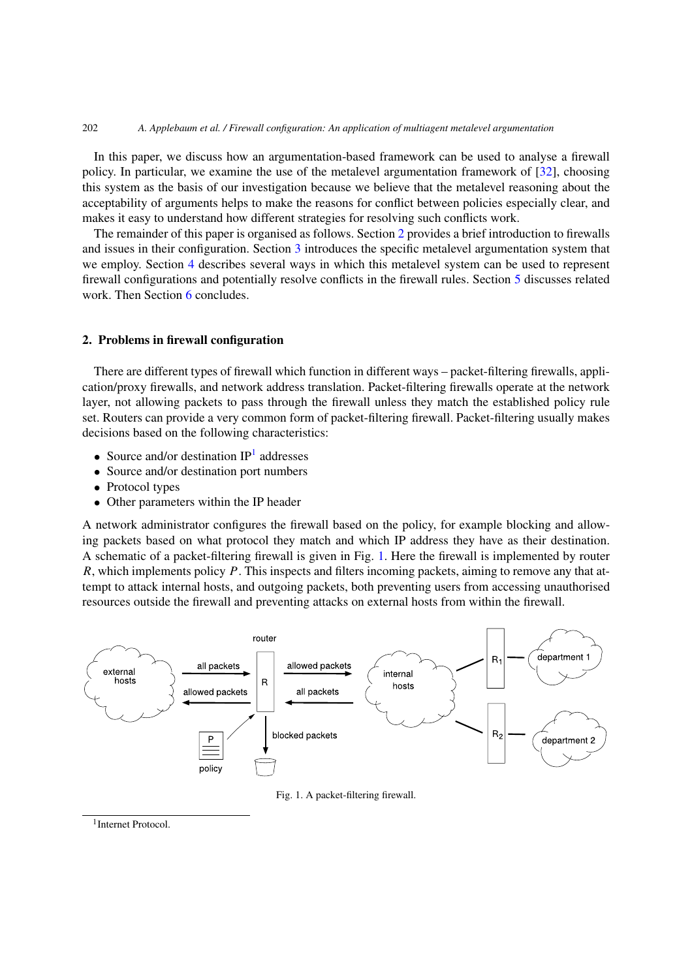In this paper, we discuss how an argumentation-based framework can be used to analyse a firewall policy. In particular, we examine the use of the metalevel argumentation framework of [\[32](#page-20-2)], choosing this system as the basis of our investigation because we believe that the metalevel reasoning about the acceptability of arguments helps to make the reasons for conflict between policies especially clear, and makes it easy to understand how different strategies for resolving such conflicts work.

The remainder of this paper is organised as follows. Section [2](#page-2-0) provides a brief introduction to firewalls and issues in their configuration. Section [3](#page-5-0) introduces the specific metalevel argumentation system that we employ. Section [4](#page-8-0) describes several ways in which this metalevel system can be used to represent firewall configurations and potentially resolve conflicts in the firewall rules. Section [5](#page-17-0) discusses related work. Then Section [6](#page-18-0) concludes.

#### <span id="page-2-0"></span>**2. Problems in firewall configuration**

There are different types of firewall which function in different ways – packet-filtering firewalls, application/proxy firewalls, and network address translation. Packet-filtering firewalls operate at the network layer, not allowing packets to pass through the firewall unless they match the established policy rule set. Routers can provide a very common form of packet-filtering firewall. Packet-filtering usually makes decisions based on the following characteristics:

- Source and/or destination  $IP<sup>1</sup>$  $IP<sup>1</sup>$  $IP<sup>1</sup>$  addresses
- Source and/or destination port numbers
- Protocol types
- Other parameters within the IP header

A network administrator configures the firewall based on the policy, for example blocking and allowing packets based on what protocol they match and which IP address they have as their destination. A schematic of a packet-filtering firewall is given in Fig. [1.](#page-2-2) Here the firewall is implemented by router *R*, which implements policy *P*. This inspects and filters incoming packets, aiming to remove any that attempt to attack internal hosts, and outgoing packets, both preventing users from accessing unauthorised resources outside the firewall and preventing attacks on external hosts from within the firewall.



<span id="page-2-2"></span>Fig. 1. A packet-filtering firewall.

<span id="page-2-1"></span><sup>1</sup>Internet Protocol.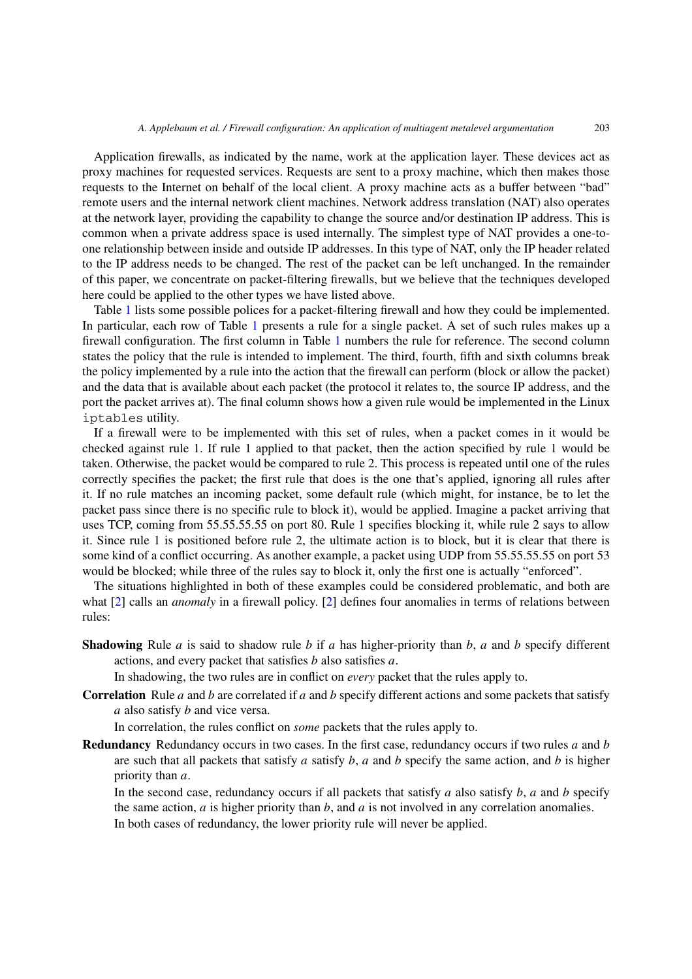Application firewalls, as indicated by the name, work at the application layer. These devices act as proxy machines for requested services. Requests are sent to a proxy machine, which then makes those requests to the Internet on behalf of the local client. A proxy machine acts as a buffer between "bad" remote users and the internal network client machines. Network address translation (NAT) also operates at the network layer, providing the capability to change the source and/or destination IP address. This is common when a private address space is used internally. The simplest type of NAT provides a one-toone relationship between inside and outside IP addresses. In this type of NAT, only the IP header related to the IP address needs to be changed. The rest of the packet can be left unchanged. In the remainder of this paper, we concentrate on packet-filtering firewalls, but we believe that the techniques developed here could be applied to the other types we have listed above.

Table [1](#page-4-0) lists some possible polices for a packet-filtering firewall and how they could be implemented. In particular, each row of Table [1](#page-4-0) presents a rule for a single packet. A set of such rules makes up a firewall configuration. The first column in Table [1](#page-4-0) numbers the rule for reference. The second column states the policy that the rule is intended to implement. The third, fourth, fifth and sixth columns break the policy implemented by a rule into the action that the firewall can perform (block or allow the packet) and the data that is available about each packet (the protocol it relates to, the source IP address, and the port the packet arrives at). The final column shows how a given rule would be implemented in the Linux iptables utility.

If a firewall were to be implemented with this set of rules, when a packet comes in it would be checked against rule 1. If rule 1 applied to that packet, then the action specified by rule 1 would be taken. Otherwise, the packet would be compared to rule 2. This process is repeated until one of the rules correctly specifies the packet; the first rule that does is the one that's applied, ignoring all rules after it. If no rule matches an incoming packet, some default rule (which might, for instance, be to let the packet pass since there is no specific rule to block it), would be applied. Imagine a packet arriving that uses TCP, coming from 55.55.55.55 on port 80. Rule 1 specifies blocking it, while rule 2 says to allow it. Since rule 1 is positioned before rule 2, the ultimate action is to block, but it is clear that there is some kind of a conflict occurring. As another example, a packet using UDP from 55.55.55.55 on port 53 would be blocked; while three of the rules say to block it, only the first one is actually "enforced".

The situations highlighted in both of these examples could be considered problematic, and both are what [\[2](#page-19-0)] calls an *anomaly* in a firewall policy. [\[2\]](#page-19-0) defines four anomalies in terms of relations between rules:

**Shadowing** Rule *a* is said to shadow rule *b* if *a* has higher-priority than *b*, *a* and *b* specify different actions, and every packet that satisfies *b* also satisfies *a*.

In shadowing, the two rules are in conflict on *every* packet that the rules apply to.

**Correlation** Rule *a* and *b* are correlated if *a* and *b* specify different actions and some packets that satisfy *a* also satisfy *b* and vice versa.

In correlation, the rules conflict on *some* packets that the rules apply to.

**Redundancy** Redundancy occurs in two cases. In the first case, redundancy occurs if two rules *a* and *b* are such that all packets that satisfy *a* satisfy *b*, *a* and *b* specify the same action, and *b* is higher priority than *a*.

In the second case, redundancy occurs if all packets that satisfy *a* also satisfy *b*, *a* and *b* specify the same action, *a* is higher priority than *b*, and *a* is not involved in any correlation anomalies. In both cases of redundancy, the lower priority rule will never be applied.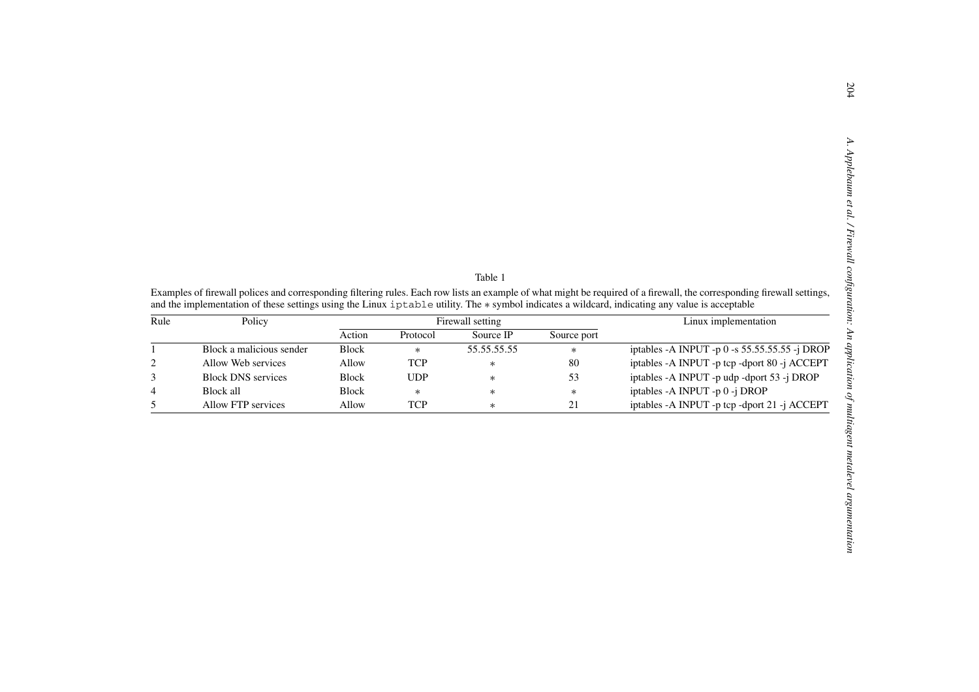<span id="page-4-0"></span>

|      |                           |                                                                                                                                                 |            | Table 1                       |             |                                                                                                                                                                         |
|------|---------------------------|-------------------------------------------------------------------------------------------------------------------------------------------------|------------|-------------------------------|-------------|-------------------------------------------------------------------------------------------------------------------------------------------------------------------------|
|      |                           |                                                                                                                                                 |            |                               |             | Examples of firewall polices and corresponding filtering rules. Each row lists an example of what might be required of a firewall, the corresponding firewall settings, |
| Rule |                           | and the implementation of these settings using the Linux iptable utility. The * symbol indicates a wildcard, indicating any value is acceptable |            |                               |             |                                                                                                                                                                         |
|      | Policy                    | Action                                                                                                                                          | Protocol   | Firewall setting<br>Source IP | Source port | Linux implementation                                                                                                                                                    |
|      | Block a malicious sender  | <b>Block</b>                                                                                                                                    | $\ast$     | 55.55.55.55                   | $\ast$      | iptables - A INPUT - p 0 - s 55.55.55.55 - j DROP                                                                                                                       |
|      | Allow Web services        | Allow                                                                                                                                           | <b>TCP</b> | $\ast$                        | 80          | iptables - A INPUT - p tcp - dport 80 -j ACCEPT                                                                                                                         |
|      | <b>Block DNS</b> services | <b>Block</b>                                                                                                                                    | <b>UDP</b> | $\ast$                        | 53          | iptables - A INPUT - p udp - dport 53 - j DROP                                                                                                                          |
|      | <b>Block all</b>          | <b>Block</b>                                                                                                                                    | $\ast$     | $\ast$                        | $\ast$      | iptables - A INPUT - p 0 -j DROP                                                                                                                                        |
|      | Allow FTP services        | Allow                                                                                                                                           | <b>TCP</b> | $\ast$                        | 21          | iptables -A INPUT -p tcp -dport 21 -j ACCEPT                                                                                                                            |
|      |                           |                                                                                                                                                 |            |                               |             |                                                                                                                                                                         |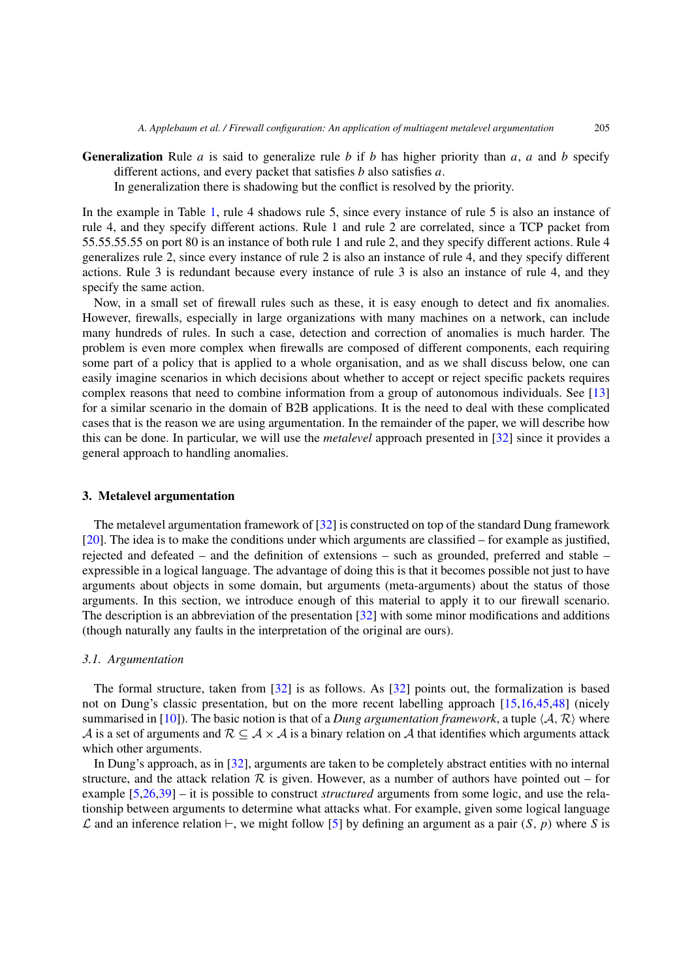**Generalization** Rule *a* is said to generalize rule *b* if *b* has higher priority than *a*, *a* and *b* specify different actions, and every packet that satisfies *b* also satisfies *a*.

In generalization there is shadowing but the conflict is resolved by the priority.

In the example in Table [1,](#page-4-0) rule 4 shadows rule 5, since every instance of rule 5 is also an instance of rule 4, and they specify different actions. Rule 1 and rule 2 are correlated, since a TCP packet from 55.55.55.55 on port 80 is an instance of both rule 1 and rule 2, and they specify different actions. Rule 4 generalizes rule 2, since every instance of rule 2 is also an instance of rule 4, and they specify different actions. Rule 3 is redundant because every instance of rule 3 is also an instance of rule 4, and they specify the same action.

Now, in a small set of firewall rules such as these, it is easy enough to detect and fix anomalies. However, firewalls, especially in large organizations with many machines on a network, can include many hundreds of rules. In such a case, detection and correction of anomalies is much harder. The problem is even more complex when firewalls are composed of different components, each requiring some part of a policy that is applied to a whole organisation, and as we shall discuss below, one can easily imagine scenarios in which decisions about whether to accept or reject specific packets requires complex reasons that need to combine information from a group of autonomous individuals. See [\[13\]](#page-19-1) for a similar scenario in the domain of B2B applications. It is the need to deal with these complicated cases that is the reason we are using argumentation. In the remainder of the paper, we will describe how this can be done. In particular, we will use the *metalevel* approach presented in [\[32](#page-20-2)] since it provides a general approach to handling anomalies.

#### <span id="page-5-0"></span>**3. Metalevel argumentation**

The metalevel argumentation framework of [\[32\]](#page-20-2) is constructed on top of the standard Dung framework [\[20](#page-20-3)]. The idea is to make the conditions under which arguments are classified – for example as justified, rejected and defeated – and the definition of extensions – such as grounded, preferred and stable – expressible in a logical language. The advantage of doing this is that it becomes possible not just to have arguments about objects in some domain, but arguments (meta-arguments) about the status of those arguments. In this section, we introduce enough of this material to apply it to our firewall scenario. The description is an abbreviation of the presentation [\[32](#page-20-2)] with some minor modifications and additions (though naturally any faults in the interpretation of the original are ours).

#### *3.1. Argumentation*

The formal structure, taken from [\[32](#page-20-2)] is as follows. As [\[32](#page-20-2)] points out, the formalization is based not on Dung's classic presentation, but on the more recent labelling approach [\[15](#page-19-2)[,16](#page-20-4)[,45](#page-21-0)[,48](#page-21-1)] (nicely summarised in [\[10\]](#page-19-3)). The basic notion is that of a *Dung argumentation framework*, a tuple  $\langle A, R \rangle$  where A is a set of arguments and  $\mathcal{R} \subseteq \mathcal{A} \times \mathcal{A}$  is a binary relation on A that identifies which arguments attack which other arguments.

In Dung's approach, as in [\[32\]](#page-20-2), arguments are taken to be completely abstract entities with no internal structure, and the attack relation  $R$  is given. However, as a number of authors have pointed out – for example [\[5](#page-19-4)[,26](#page-20-5)[,39\]](#page-20-6) – it is possible to construct *structured* arguments from some logic, and use the relationship between arguments to determine what attacks what. For example, given some logical language L and an inference relation  $\vdash$ , we might follow [\[5](#page-19-4)] by defining an argument as a pair *(S, p)* where *S* is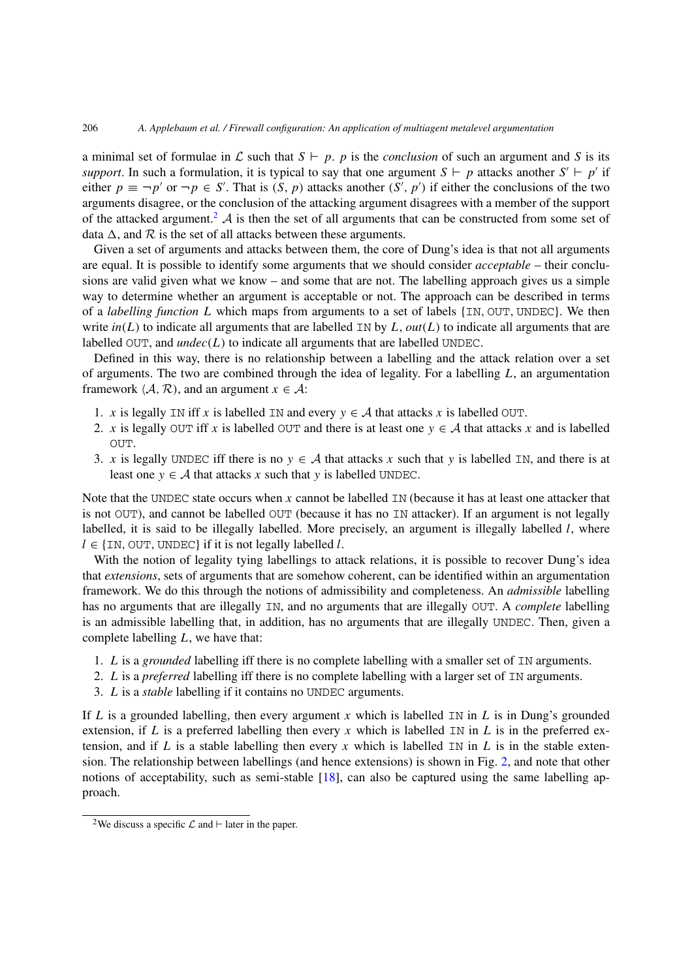a minimal set of formulae in L such that  $S \vdash p$ . *p* is the *conclusion* of such an argument and S is its *support*. In such a formulation, it is typical to say that one argument  $S \vdash p$  attacks another  $S' \vdash p'$  if either  $p \equiv \neg p'$  or  $\neg p \in S'$ . That is *(S, p)* attacks another *(S', p')* if either the conclusions of the two arguments disagree, or the conclusion of the attacking argument disagrees with a member of the support of the attacked argument.<sup>2</sup>  $\mathcal A$  is then the set of all arguments that can be constructed from some set of data  $\Delta$ , and  $\mathcal R$  is the set of all attacks between these arguments.

Given a set of arguments and attacks between them, the core of Dung's idea is that not all arguments are equal. It is possible to identify some arguments that we should consider *acceptable* – their conclusions are valid given what we know – and some that are not. The labelling approach gives us a simple way to determine whether an argument is acceptable or not. The approach can be described in terms of a *labelling function L* which maps from arguments to a set of labels {IN*,* OUT*,* UNDEC}. We then write  $in(L)$  to indicate all arguments that are labelled IN by  $L$ ,  $out(L)$  to indicate all arguments that are labelled OUT, and  $undec(L)$  to indicate all arguments that are labelled UNDEC.

Defined in this way, there is no relationship between a labelling and the attack relation over a set of arguments. The two are combined through the idea of legality. For a labelling *L*, an argumentation framework  $(A, R)$ , and an argument  $x \in A$ :

- 1. *x* is legally IN iff *x* is labelled IN and every  $y \in A$  that attacks *x* is labelled OUT.
- 2. *x* is legally OUT iff *x* is labelled OUT and there is at least one  $y \in A$  that attacks *x* and is labelled OUT.
- 3. *x* is legally UNDEC iff there is no  $y \in A$  that attacks *x* such that *y* is labelled IN, and there is at least one  $y \in A$  that attacks *x* such that *y* is labelled UNDEC.

Note that the UNDEC state occurs when *x* cannot be labelled IN (because it has at least one attacker that is not OUT), and cannot be labelled OUT (because it has no IN attacker). If an argument is not legally labelled, it is said to be illegally labelled. More precisely, an argument is illegally labelled *l*, where *l* ∈ {IN*,* OUT*,* UNDEC} if it is not legally labelled *l*.

With the notion of legality tying labellings to attack relations, it is possible to recover Dung's idea that *extensions*, sets of arguments that are somehow coherent, can be identified within an argumentation framework. We do this through the notions of admissibility and completeness. An *admissible* labelling has no arguments that are illegally IN, and no arguments that are illegally OUT. A *complete* labelling is an admissible labelling that, in addition, has no arguments that are illegally UNDEC. Then, given a complete labelling *L*, we have that:

- 1. *L* is a *grounded* labelling iff there is no complete labelling with a smaller set of IN arguments.
- 2. *L* is a *preferred* labelling iff there is no complete labelling with a larger set of IN arguments.
- 3. *L* is a *stable* labelling if it contains no UNDEC arguments.

If *L* is a grounded labelling, then every argument *x* which is labelled IN in *L* is in Dung's grounded extension, if *L* is a preferred labelling then every *x* which is labelled IN in *L* is in the preferred extension, and if *L* is a stable labelling then every *x* which is labelled IN in *L* is in the stable extension. The relationship between labellings (and hence extensions) is shown in Fig. [2,](#page-7-0) and note that other notions of acceptability, such as semi-stable [\[18](#page-20-7)], can also be captured using the same labelling approach.

<span id="page-6-0"></span><sup>&</sup>lt;sup>2</sup>We discuss a specific  $\mathcal L$  and  $\vdash$  later in the paper.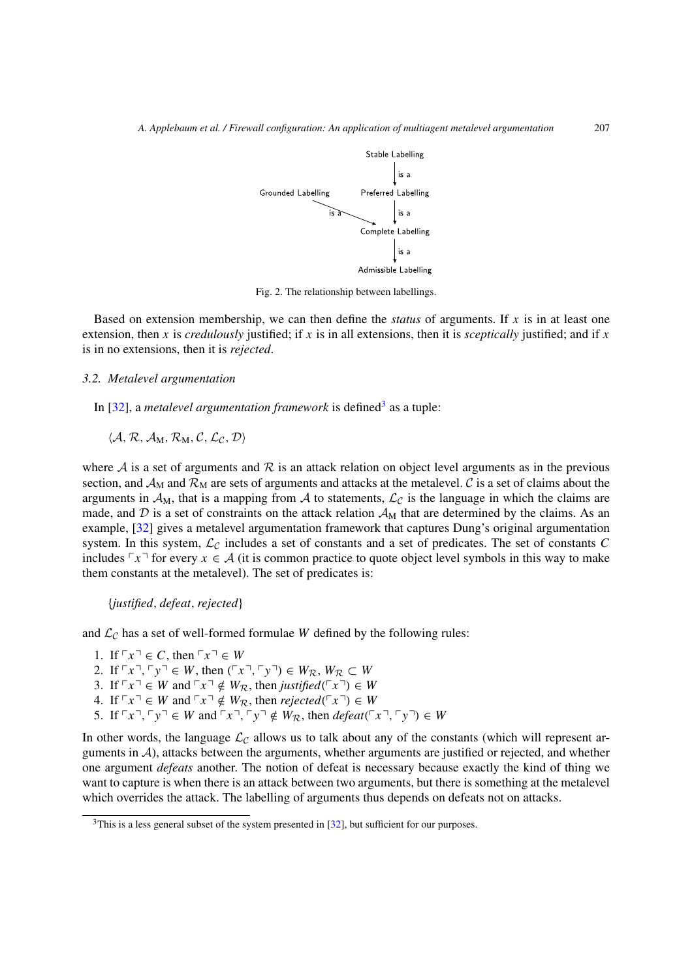

<span id="page-7-0"></span>Fig. 2. The relationship between labellings.

Based on extension membership, we can then define the *status* of arguments. If *x* is in at least one extension, then *x* is *credulously* justified; if *x* is in all extensions, then it is *sceptically* justified; and if *x* is in no extensions, then it is *rejected*.

#### *3.2. Metalevel argumentation*

In  $[32]$  $[32]$ , a *metalevel argumentation framework* is defined<sup>3</sup> as a tuple:

 $\langle A, \mathcal{R}, \mathcal{A}_{M}, \mathcal{R}_{M}, \mathcal{C}, \mathcal{L}_{\mathcal{C}}, \mathcal{D} \rangle$ 

where A is a set of arguments and R is an attack relation on object level arguments as in the previous section, and  $\mathcal{A}_M$  and  $\mathcal{R}_M$  are sets of arguments and attacks at the metalevel. C is a set of claims about the arguments in  $A_M$ , that is a mapping from A to statements,  $\mathcal{L}_{\mathcal{C}}$  is the language in which the claims are made, and  $D$  is a set of constraints on the attack relation  $A_M$  that are determined by the claims. As an example, [\[32](#page-20-2)] gives a metalevel argumentation framework that captures Dung's original argumentation system. In this system,  $\mathcal{L}_C$  includes a set of constants and a set of predicates. The set of constants  $C$ includes  $\lceil x \rceil$  for every  $x \in A$  (it is common practice to quote object level symbols in this way to make them constants at the metalevel). The set of predicates is:

{*justified, defeat,rejected*}

and  $\mathcal{L}_{\mathcal{C}}$  has a set of well-formed formulae *W* defined by the following rules:

- 1. If  $\lceil x \rceil \leq C$ , then  $\lceil x \rceil \leq W$
- 2. If  $\lceil x \rceil$ ,  $\lceil y \rceil \in W$ , then  $(\lceil x \rceil, \lceil y \rceil) \in W_{\mathcal{R}}, W_{\mathcal{R}} \subset W$
- 3. If  $\lceil x \rceil \in W$  and  $\lceil x \rceil \notin W_{\mathcal{R}}$ , then *justified*  $(\lceil x \rceil) \in W$
- 4. If  $\lceil x \rceil \in W$  and  $\lceil x \rceil \notin W_{\mathcal{R}}$ , then *rejected* ( $\lceil x \rceil$ )  $\in W$
- 5. If  $\lceil x \rceil$ ,  $\lceil y \rceil \in W$  and  $\lceil x \rceil$ ,  $\lceil y \rceil \notin W_{\mathcal{R}}$ , then *defeat*( $\lceil x \rceil$ ,  $\lceil y \rceil$ )  $\in W$

In other words, the language  $\mathcal{L}_{\mathcal{C}}$  allows us to talk about any of the constants (which will represent arguments in  $A$ ), attacks between the arguments, whether arguments are justified or rejected, and whether one argument *defeats* another. The notion of defeat is necessary because exactly the kind of thing we want to capture is when there is an attack between two arguments, but there is something at the metalevel which overrides the attack. The labelling of arguments thus depends on defeats not on attacks.

<span id="page-7-1"></span> $3$ This is a less general subset of the system presented in [\[32](#page-20-2)], but sufficient for our purposes.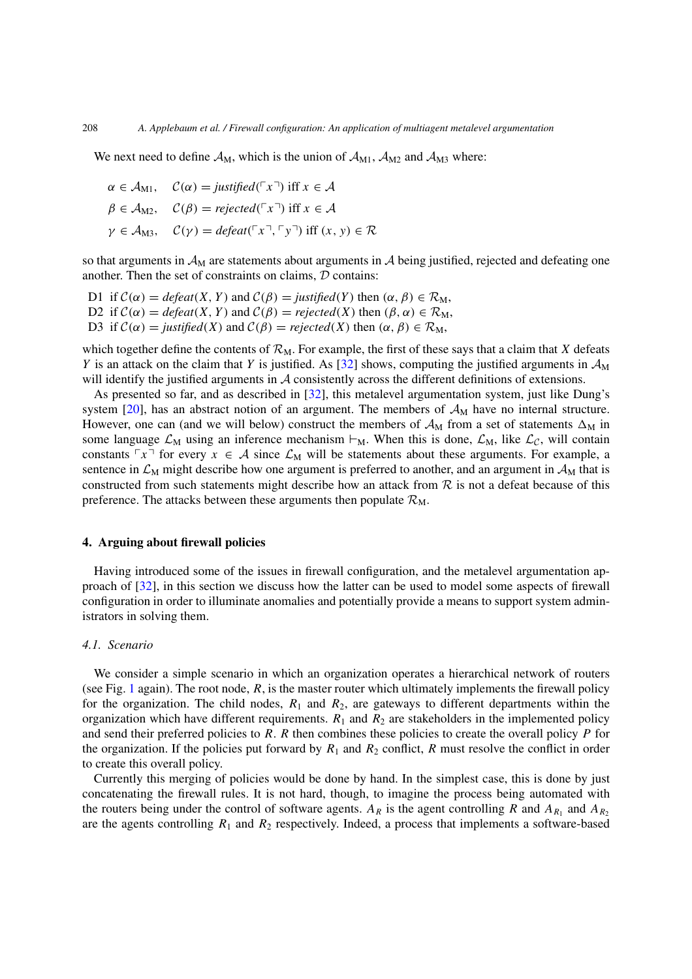We next need to define  $A_M$ , which is the union of  $A_{M1}$ ,  $A_{M2}$  and  $A_{M3}$  where:

$$
\alpha \in A_{M1}, \quad C(\alpha) = justified(\ulcorner x \urcorner) \text{ iff } x \in A
$$

$$
\beta \in A_{M2}, \quad C(\beta) = rejected(\ulcorner x \urcorner) \text{ iff } x \in A
$$

$$
\gamma \in A_{M3}, \quad C(\gamma) = defeat(\ulcorner x \urcorner, \ulcorner y \urcorner) \text{ iff } (x, y) \in R
$$

so that arguments in  $A_M$  are statements about arguments in  $A$  being justified, rejected and defeating one another. Then the set of constraints on claims,  $D$  contains:

D1 if  $C(\alpha) = \text{def}eat(X, Y)$  and  $C(\beta) = \text{jusified}(Y)$  then  $(\alpha, \beta) \in \mathcal{R}_M$ , D2 if  $C(\alpha) = \text{defeat}(X, Y)$  and  $C(\beta) = \text{rejected}(X)$  then  $(\beta, \alpha) \in \mathcal{R}_M$ , D3 if  $C(\alpha) =$  *justified*(*X*) and  $C(\beta) =$  *rejected*(*X*) then  $(\alpha, \beta) \in \mathcal{R}_M$ ,

which together define the contents of  $\mathcal{R}_M$ . For example, the first of these says that a claim that *X* defeats *Y* is an attack on the claim that *Y* is justified. As [\[32\]](#page-20-2) shows, computing the justified arguments in  $\mathcal{A}_{M}$ will identify the justified arguments in A consistently across the different definitions of extensions.

As presented so far, and as described in [\[32](#page-20-2)], this metalevel argumentation system, just like Dung's system [\[20\]](#page-20-3), has an abstract notion of an argument. The members of  $\mathcal{A}_{M}$  have no internal structure. However, one can (and we will below) construct the members of  $A_M$  from a set of statements  $\Delta_M$  in some language  $\mathcal{L}_M$  using an inference mechanism  $\vdash_M$ . When this is done,  $\mathcal{L}_M$ , like  $\mathcal{L}_C$ , will contain constants  $\lceil x \rceil$  for every  $x \in A$  since  $\mathcal{L}_M$  will be statements about these arguments. For example, a sentence in  $\mathcal{L}_M$  might describe how one argument is preferred to another, and an argument in  $\mathcal{A}_M$  that is constructed from such statements might describe how an attack from  $R$  is not a defeat because of this preference. The attacks between these arguments then populate  $\mathcal{R}_{\text{M}}$ .

#### <span id="page-8-0"></span>**4. Arguing about firewall policies**

Having introduced some of the issues in firewall configuration, and the metalevel argumentation approach of [\[32\]](#page-20-2), in this section we discuss how the latter can be used to model some aspects of firewall configuration in order to illuminate anomalies and potentially provide a means to support system administrators in solving them.

#### *4.1. Scenario*

We consider a simple scenario in which an organization operates a hierarchical network of routers (see Fig. [1](#page-2-2) again). The root node, *R*, is the master router which ultimately implements the firewall policy for the organization. The child nodes,  $R_1$  and  $R_2$ , are gateways to different departments within the organization which have different requirements.  $R_1$  and  $R_2$  are stakeholders in the implemented policy and send their preferred policies to *R*. *R* then combines these policies to create the overall policy *P* for the organization. If the policies put forward by  $R_1$  and  $R_2$  conflict,  $R$  must resolve the conflict in order to create this overall policy.

Currently this merging of policies would be done by hand. In the simplest case, this is done by just concatenating the firewall rules. It is not hard, though, to imagine the process being automated with the routers being under the control of software agents.  $A_R$  is the agent controlling *R* and  $A_{R_1}$  and  $A_{R_2}$ are the agents controlling  $R_1$  and  $R_2$  respectively. Indeed, a process that implements a software-based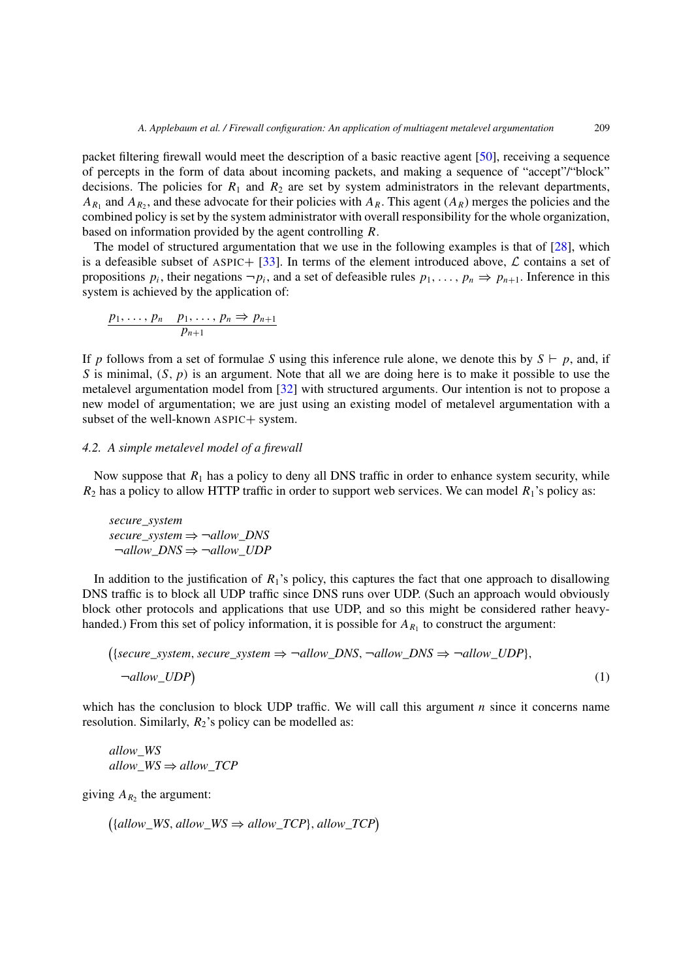packet filtering firewall would meet the description of a basic reactive agent [\[50](#page-21-2)], receiving a sequence of percepts in the form of data about incoming packets, and making a sequence of "accept"/"block" decisions. The policies for  $R_1$  and  $R_2$  are set by system administrators in the relevant departments,  $A_{R_1}$  and  $A_{R_2}$ , and these advocate for their policies with  $A_R$ . This agent  $(A_R)$  merges the policies and the combined policy is set by the system administrator with overall responsibility for the whole organization, based on information provided by the agent controlling *R*.

The model of structured argumentation that we use in the following examples is that of [\[28\]](#page-20-8), which is a defeasible subset of ASPIC+ [\[33](#page-20-9)]. In terms of the element introduced above,  $\mathcal L$  contains a set of propositions  $p_i$ , their negations  $\neg p_i$ , and a set of defeasible rules  $p_1, \ldots, p_n \Rightarrow p_{n+1}$ . Inference in this system is achieved by the application of:

$$
\frac{p_1,\ldots,p_n\quad p_1,\ldots,p_n\Rightarrow p_{n+1}}{p_{n+1}}
$$

If *p* follows from a set of formulae *S* using this inference rule alone, we denote this by  $S \vdash p$ , and, if *S* is minimal, *(S, p)* is an argument. Note that all we are doing here is to make it possible to use the metalevel argumentation model from [\[32](#page-20-2)] with structured arguments. Our intention is not to propose a new model of argumentation; we are just using an existing model of metalevel argumentation with a subset of the well-known ASPIC+ system.

### *4.2. A simple metalevel model of a firewall*

Now suppose that  $R_1$  has a policy to deny all DNS traffic in order to enhance system security, while  $R_2$  has a policy to allow HTTP traffic in order to support web services. We can model  $R_1$ 's policy as:

*secure*\_*system secure*\_*system* ⇒ ¬*allow*\_*DNS* ¬*allow*\_*DNS* ⇒ ¬*allow*\_*UDP*

In addition to the justification of  $R_1$ 's policy, this captures the fact that one approach to disallowing DNS traffic is to block all UDP traffic since DNS runs over UDP. (Such an approach would obviously block other protocols and applications that use UDP, and so this might be considered rather heavyhanded.) From this set of policy information, it is possible for  $A_{R_1}$  to construct the argument:

<span id="page-9-0"></span>
$$
({\text{secure}\_\text{system}, \text{secure}\_\text{system} \Rightarrow \neg allow\_DNS, \neg allow\_DNS \Rightarrow \neg allow\_UDP},
$$
  
\n
$$
\neg allow\_UDP)
$$
 (1)

which has the conclusion to block UDP traffic. We will call this argument *n* since it concerns name resolution. Similarly,  $R_2$ 's policy can be modelled as:

*allow*\_*WS*  $allow\_WS \Rightarrow allow\_TCP$ 

giving  $A_{R_2}$  the argument:

 $({\text{allow\_WS}, \text{allow\_WS} \Rightarrow \text{allow\_TCP}}, \text{allow\_TCP})$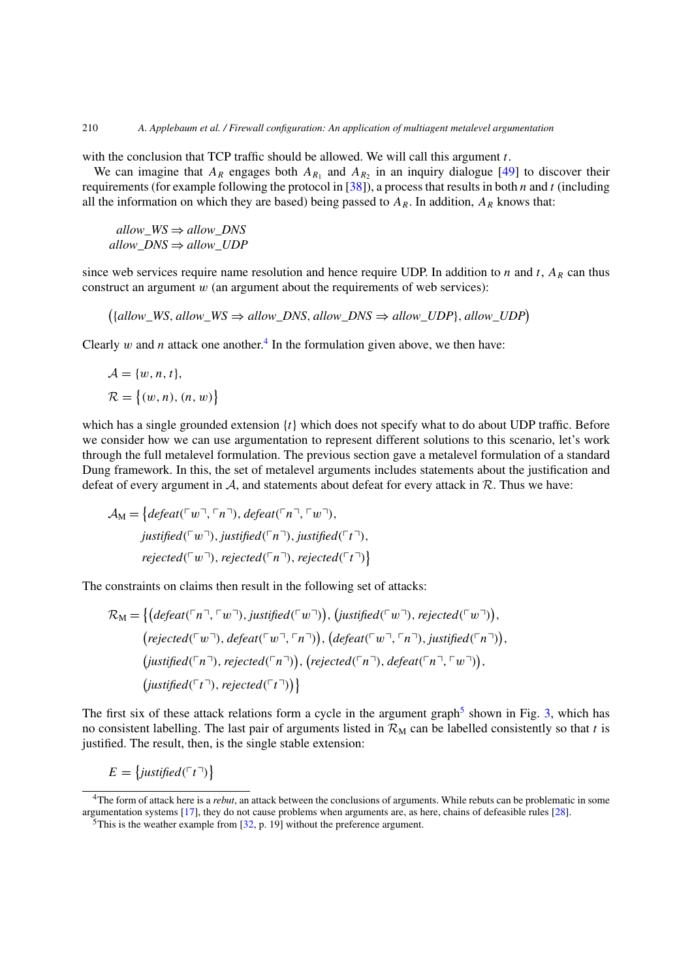with the conclusion that TCP traffic should be allowed. We will call this argument *t*.

We can imagine that  $A_R$  engages both  $A_{R_1}$  and  $A_{R_2}$  in an inquiry dialogue [\[49\]](#page-21-3) to discover their requirements (for example following the protocol in [\[38\]](#page-20-10)), a process that results in both *n* and *t* (including all the information on which they are based) being passed to  $A_R$ . In addition,  $A_R$  knows that:

*allow*  $WS \Rightarrow$  *allow DNS*  $allow$ *DNS*  $\Rightarrow$  *allow UDP* 

since web services require name resolution and hence require UDP. In addition to *n* and *t*,  $A_R$  can thus construct an argument *w* (an argument about the requirements of web services):

 $({\text{allow\_WS}, \text{allow\_WS} \Rightarrow \text{allow\_DNS}, \text{allow\_DNS} \Rightarrow \text{allow\_DNS} \Rightarrow \text{allow\_UDP},$ 

Clearly  $w$  and  $n$  attack one another.<sup>4</sup> In the formulation given above, we then have:

$$
\mathcal{A} = \{w, n, t\},\
$$

$$
\mathcal{R} = \{(w, n), (n, w)\}
$$

which has a single grounded extension {*t*} which does not specify what to do about UDP traffic. Before we consider how we can use argumentation to represent different solutions to this scenario, let's work through the full metalevel formulation. The previous section gave a metalevel formulation of a standard Dung framework. In this, the set of metalevel arguments includes statements about the justification and defeat of every argument in  $A$ , and statements about defeat for every attack in  $R$ . Thus we have:

$$
\mathcal{A}_{M} = \{defeat(\ulcorner w \urcorner, \ulcorner n \urcorner), defeat(\ulcorner n \urcorner, \ulcorner w \urcorner),justified(\ulcorner w \urcorner), justified(\ulcorner n \urcorner), justified(\ulcorner t \urcorner),rejected(\ulcorner w \urcorner), rejected(\ulcorner n \urcorner), rejected(\ulcorner t \urcorner)\}
$$

The constraints on claims then result in the following set of attacks:

$$
\mathcal{R}_{\mathbf{M}} = \left\{ \left( \text{defeat}(\ulcorner n \urcorner, \ulcorner w \urcorner), \text{justified}(\ulcorner w \urcorner) \right), \left( \text{justified}(\ulcorner w \urcorner), \text{ rejected}(\ulcorner w \urcorner) \right), \right. \newline \left( \text{rejected}(\ulcorner w \urcorner), \text{defeat}(\ulcorner w \urcorner, \ulcorner n \urcorner) \right), \left( \text{defeat}(\ulcorner w \urcorner, \ulcorner n \urcorner), \text{justified}(\ulcorner n \urcorner) \right), \right. \newline \left( \text{justified}(\ulcorner n \urcorner), \text{rejected}(\ulcorner n \urcorner) \right), \left( \text{rejected}(\ulcorner n \urcorner), \text{defeat}(\ulcorner n \urcorner, \ulcorner w \urcorner) \right), \right. \newline \left( \text{justified}(\ulcorner t \urcorner), \text{rejected}(\ulcorner t \urcorner) \right) \right\}
$$

The first six of these attack relations form a cycle in the argument graph<sup>[5](#page-10-1)</sup> shown in Fig. [3,](#page-11-0) which has no consistent labelling. The last pair of arguments listed in  $\mathcal{R}_{M}$  can be labelled consistently so that *t* is justified. The result, then, is the single stable extension:

$$
E = \{justified(\ulcorner t \urcorner)\}
$$

<span id="page-10-0"></span><sup>4</sup>The form of attack here is a *rebut*, an attack between the conclusions of arguments. While rebuts can be problematic in some argumentation systems [\[17](#page-20-11)], they do not cause problems when arguments are, as here, chains of defeasible rules [\[28](#page-20-8)].

<span id="page-10-1"></span> $5$ This is the weather example from [\[32](#page-20-2), p. 19] without the preference argument.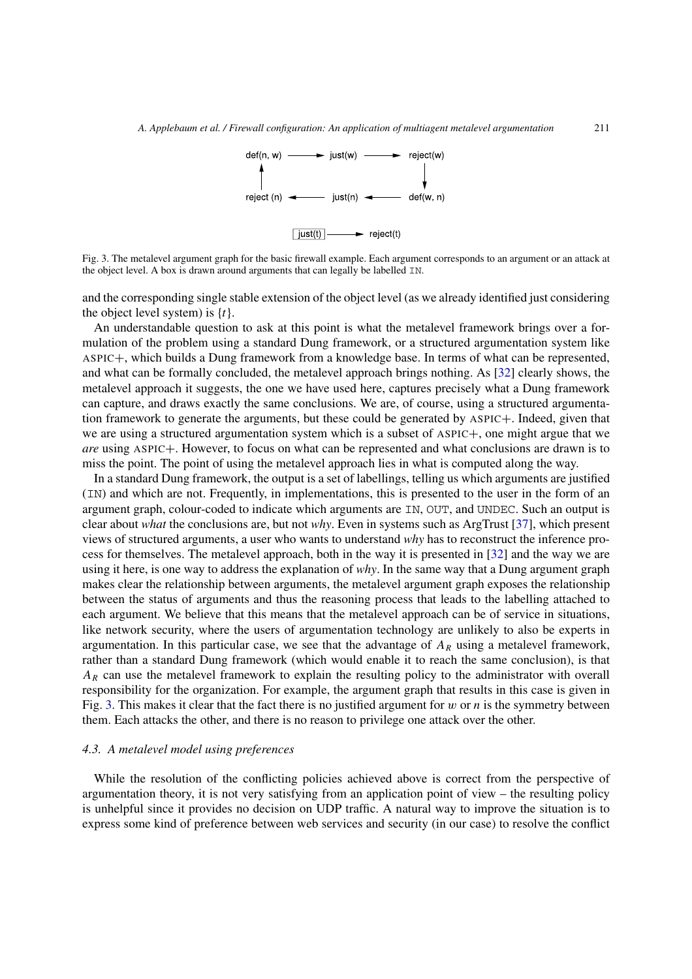

<span id="page-11-0"></span>Fig. 3. The metalevel argument graph for the basic firewall example. Each argument corresponds to an argument or an attack at the object level. A box is drawn around arguments that can legally be labelled IN.

and the corresponding single stable extension of the object level (as we already identified just considering the object level system) is {*t*}.

An understandable question to ask at this point is what the metalevel framework brings over a formulation of the problem using a standard Dung framework, or a structured argumentation system like ASPIC+, which builds a Dung framework from a knowledge base. In terms of what can be represented, and what can be formally concluded, the metalevel approach brings nothing. As [\[32](#page-20-2)] clearly shows, the metalevel approach it suggests, the one we have used here, captures precisely what a Dung framework can capture, and draws exactly the same conclusions. We are, of course, using a structured argumentation framework to generate the arguments, but these could be generated by ASPIC+. Indeed, given that we are using a structured argumentation system which is a subset of ASPIC+, one might argue that we *are* using ASPIC+. However, to focus on what can be represented and what conclusions are drawn is to miss the point. The point of using the metalevel approach lies in what is computed along the way.

In a standard Dung framework, the output is a set of labellings, telling us which arguments are justified (IN) and which are not. Frequently, in implementations, this is presented to the user in the form of an argument graph, colour-coded to indicate which arguments are IN, OUT, and UNDEC. Such an output is clear about *what* the conclusions are, but not *why*. Even in systems such as ArgTrust [\[37](#page-20-12)], which present views of structured arguments, a user who wants to understand *why* has to reconstruct the inference process for themselves. The metalevel approach, both in the way it is presented in [\[32](#page-20-2)] and the way we are using it here, is one way to address the explanation of *why*. In the same way that a Dung argument graph makes clear the relationship between arguments, the metalevel argument graph exposes the relationship between the status of arguments and thus the reasoning process that leads to the labelling attached to each argument. We believe that this means that the metalevel approach can be of service in situations, like network security, where the users of argumentation technology are unlikely to also be experts in argumentation. In this particular case, we see that the advantage of  $A_R$  using a metalevel framework, rather than a standard Dung framework (which would enable it to reach the same conclusion), is that *AR* can use the metalevel framework to explain the resulting policy to the administrator with overall responsibility for the organization. For example, the argument graph that results in this case is given in Fig. [3.](#page-11-0) This makes it clear that the fact there is no justified argument for *w* or *n* is the symmetry between them. Each attacks the other, and there is no reason to privilege one attack over the other.

#### <span id="page-11-1"></span>*4.3. A metalevel model using preferences*

While the resolution of the conflicting policies achieved above is correct from the perspective of argumentation theory, it is not very satisfying from an application point of view – the resulting policy is unhelpful since it provides no decision on UDP traffic. A natural way to improve the situation is to express some kind of preference between web services and security (in our case) to resolve the conflict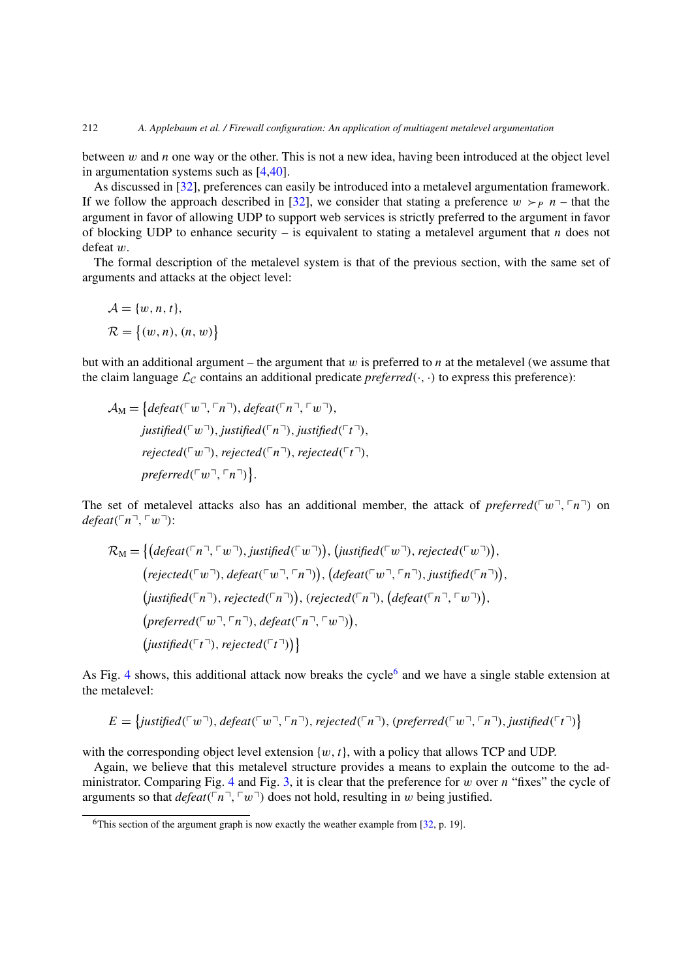between *w* and *n* one way or the other. This is not a new idea, having been introduced at the object level in argumentation systems such as [\[4](#page-19-5)[,40](#page-20-13)].

As discussed in [\[32\]](#page-20-2), preferences can easily be introduced into a metalevel argumentation framework. If we follow the approach described in [\[32\]](#page-20-2), we consider that stating a preference  $w > p$  *n* – that the argument in favor of allowing UDP to support web services is strictly preferred to the argument in favor of blocking UDP to enhance security – is equivalent to stating a metalevel argument that *n* does not defeat *w*.

The formal description of the metalevel system is that of the previous section, with the same set of arguments and attacks at the object level:

$$
\mathcal{A} = \{w, n, t\},\
$$

$$
\mathcal{R} = \{(w, n), (n, w)\}
$$

but with an additional argument – the argument that *w* is preferred to *n* at the metalevel (we assume that the claim language  $\mathcal{L}_c$  contains an additional predicate *preferred* $(\cdot, \cdot)$  to express this preference):

 $\mathcal{A}_{\mathbf{M}} = \{ \text{defeat}(\ulcorner w \urcorner, \ulcorner n \urcorner), \text{defeat}(\ulcorner n \urcorner, \ulcorner w \urcorner), \}$  $\int$ *justified*( $\ulcorner w \urcorner$ ),  $\int$ *justified*( $\ulcorner n \urcorner$ ),  $\int$ *justified*( $\ulcorner t \urcorner$ ),  $r$ *ejected*( $\ulcorner w \urcorner$ )*,*  $r$ *ejected*( $\ulcorner n \urcorner$ )*, rejected*( $\ulcorner t \urcorner$ )*,*  $\mathit{prefferred}(\ulcorner w \urcorner, \ulcorner n \urcorner) \big\}.$ 

The set of metalevel attacks also has an additional member, the attack of *preferred*<sup>( $\lceil w \rceil$ ,  $\lceil n \rceil$ ) on</sup>  $defeat(\lceil n \rceil, \lceil w \rceil)$ :

$$
\mathcal{R}_{\mathrm{M}} = \left\{ \left( \text{defeat}(\ulcorner n \urcorner, \ulcorner w \urcorner), \text{justified}(\ulcorner w \urcorner) \right), \left( \text{justified}(\ulcorner w \urcorner), \text{rejected}(\ulcorner w \urcorner) \right), \right. \newline \left. \left( \text{rejected}(\ulcorner w \urcorner), \text{defeat}(\ulcorner w \urcorner, \ulcorner n \urcorner) \right), \left( \text{defeat}(\ulcorner w \urcorner, \ulcorner n \urcorner), \text{justified}(\ulcorner n \urcorner) \right), \right. \newline \left. \left( \text{justified}(\ulcorner n \urcorner), \text{rejected}(\ulcorner n \urcorner), \left( \text{rejected}(\ulcorner n \urcorner), \left( \text{defeat}(\ulcorner n \urcorner, \ulcorner w \urcorner) \right), \right. \right. \newline \left. \left( \text{preferred}(\ulcorner w \urcorner, \ulcorner n \urcorner), \text{defeat}(\ulcorner n \urcorner, \ulcorner w \urcorner) \right) \right\} \right\}
$$
\n
$$
\left( \text{justified}(\ulcorner t \urcorner), \text{rejected}(\ulcorner t \urcorner) \right) \right\}
$$

As Fig. [4](#page-13-0) shows, this additional attack now breaks the cycle<sup>6</sup> and we have a single stable extension at the metalevel:

$$
E = \left\{ justified(\ulcorner w \urcorner), \text{defeat}(\ulcorner w \urcorner, \ulcorner n \urcorner), \text{rejected}(\ulcorner n \urcorner), (\text{preferred}(\ulcorner w \urcorner, \ulcorner n \urcorner), \text{justified}(\ulcorner t \urcorner) \right\}
$$

with the corresponding object level extension {*w,t*}, with a policy that allows TCP and UDP.

Again, we believe that this metalevel structure provides a means to explain the outcome to the administrator. Comparing Fig. [4](#page-13-0) and Fig. [3,](#page-11-0) it is clear that the preference for *w* over *n* "fixes" the cycle of arguments so that  $defeat(\ulcorner n \urcorner, \ulcorner w \urcorner)$  does not hold, resulting in *w* being justified.

<span id="page-12-0"></span><sup>&</sup>lt;sup>6</sup>This section of the argument graph is now exactly the weather example from  $[32, p. 19]$  $[32, p. 19]$ .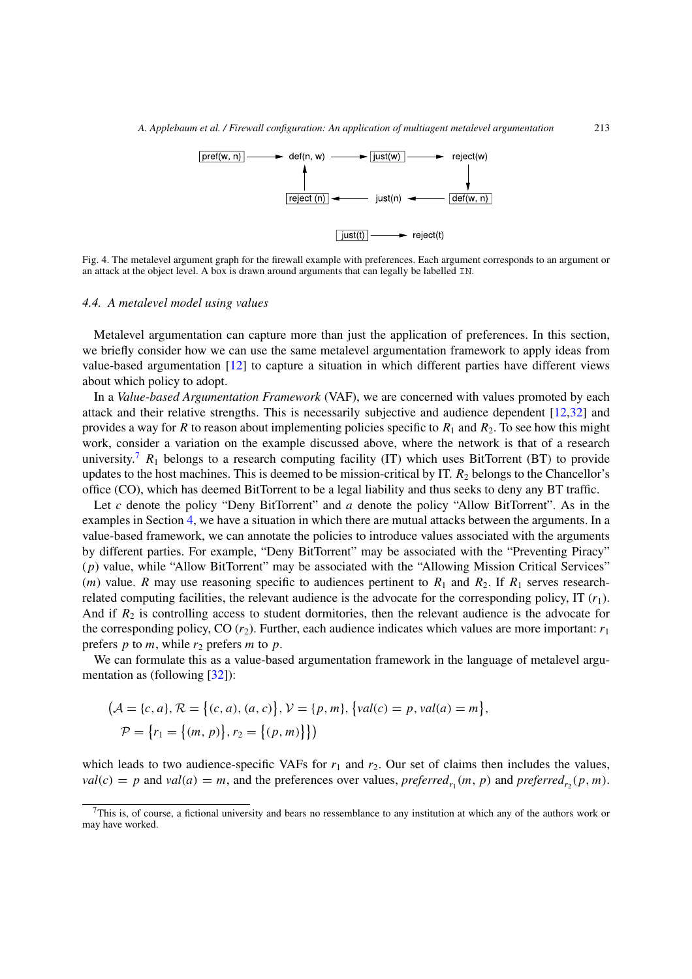

<span id="page-13-0"></span>Fig. 4. The metalevel argument graph for the firewall example with preferences. Each argument corresponds to an argument or an attack at the object level. A box is drawn around arguments that can legally be labelled IN.

#### <span id="page-13-2"></span>*4.4. A metalevel model using values*

Metalevel argumentation can capture more than just the application of preferences. In this section, we briefly consider how we can use the same metalevel argumentation framework to apply ideas from value-based argumentation [\[12\]](#page-19-6) to capture a situation in which different parties have different views about which policy to adopt.

In a *Value-based Argumentation Framework* (VAF), we are concerned with values promoted by each attack and their relative strengths. This is necessarily subjective and audience dependent [\[12](#page-19-6)[,32](#page-20-2)] and provides a way for *R* to reason about implementing policies specific to  $R_1$  and  $R_2$ . To see how this might work, consider a variation on the example discussed above, where the network is that of a research university.<sup>[7](#page-13-1)</sup>  $R_1$  belongs to a research computing facility (IT) which uses BitTorrent (BT) to provide updates to the host machines. This is deemed to be mission-critical by IT.  $R_2$  belongs to the Chancellor's office (CO), which has deemed BitTorrent to be a legal liability and thus seeks to deny any BT traffic.

Let *c* denote the policy "Deny BitTorrent" and *a* denote the policy "Allow BitTorrent". As in the examples in Section [4,](#page-8-0) we have a situation in which there are mutual attacks between the arguments. In a value-based framework, we can annotate the policies to introduce values associated with the arguments by different parties. For example, "Deny BitTorrent" may be associated with the "Preventing Piracy" (*p*) value, while "Allow BitTorrent" may be associated with the "Allowing Mission Critical Services" (*m*) value. *R* may use reasoning specific to audiences pertinent to  $R_1$  and  $R_2$ . If  $R_1$  serves researchrelated computing facilities, the relevant audience is the advocate for the corresponding policy, IT (*r*1). And if  $R_2$  is controlling access to student dormitories, then the relevant audience is the advocate for the corresponding policy,  $CO (r_2)$ . Further, each audience indicates which values are more important:  $r_1$ prefers  $p$  to  $m$ , while  $r_2$  prefers  $m$  to  $p$ .

We can formulate this as a value-based argumentation framework in the language of metalevel argu-mentation as (following [\[32\]](#page-20-2)):

$$
(\mathcal{A} = \{c, a\}, \mathcal{R} = \{(c, a), (a, c)\}, \mathcal{V} = \{p, m\}, \{val(c) = p, val(a) = m\},\
$$

$$
\mathcal{P} = \{r_1 = \{(m, p)\}, r_2 = \{(p, m)\}\})
$$

which leads to two audience-specific VAFs for  $r_1$  and  $r_2$ . Our set of claims then includes the values,  $val(c) = p$  and  $val(a) = m$ , and the preferences over values, *preferred<sub>r1</sub>* (*m, p*) and *preferred<sub>r2</sub>* (*p, m*).

<span id="page-13-1"></span> $7$ This is, of course, a fictional university and bears no ressemblance to any institution at which any of the authors work or may have worked.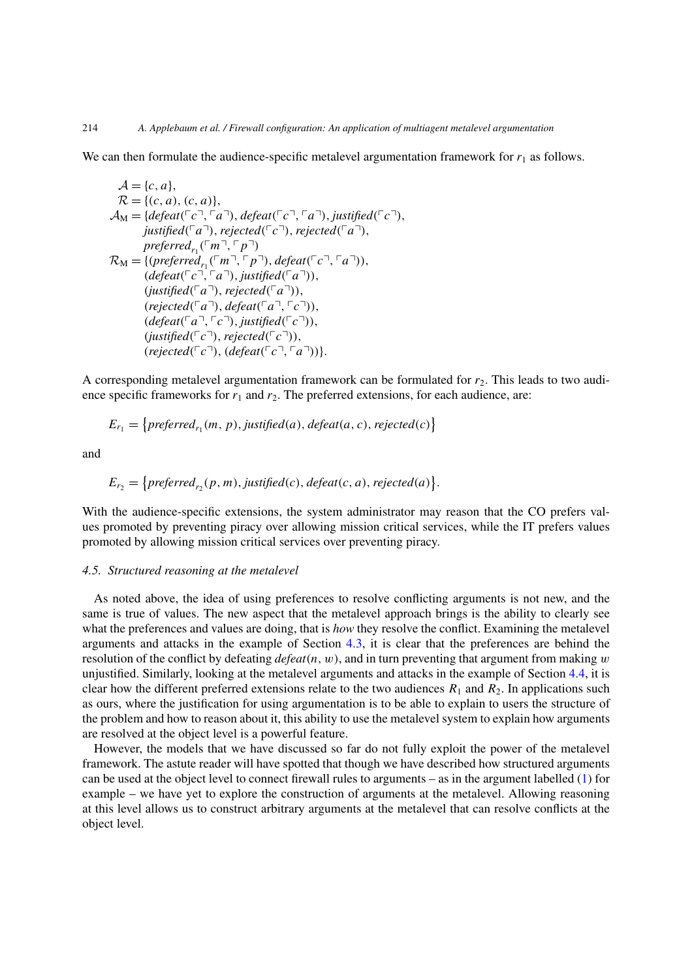We can then formulate the audience-specific metalevel argumentation framework for  $r_1$  as follows.

$$
A = \{c, a\},
$$
  
\n
$$
\mathcal{R} = \{(c, a), (c, a)\},
$$
  
\n
$$
A_M = \{defeat(^{\ulcorner}c^{\urcorner}, \ulcorner a^{\urcorner}), defeat(^{\ulcorner}c^{\urcorner}, \ulcorner a^{\urcorner}), justified(^{\ulcorner}c^{\urcorner}),\njustified(^{\ulcorner}a^{\urcorner}), rejected(^{\ulcorner}c^{\urcorner}), rejected(^{\ulcorner}a^{\urcorner}),\npreferredr_1(\ulcorner m^{\urcorner}, \ulcorner p^{\urcorner})\n\mathcal{R}_M = \{(preferredr_1(\ulcorner m^{\urcorner}, \ulcorner p^{\urcorner}), defeat(^{\ulcorner}c^{\urcorner}, \ulcorner a^{\urcorner})),\n(define(^{\ulcorner}c^{\urcorner}, \ulcorner a^{\urcorner}), isisted(^{\ulcorner}a^{\urcorner}),\n(justified(^{\ulcorner}a^{\urcorner}), defeat(^{\ulcorner}a^{\urcorner}, \ulcorner c^{\urcorner})),\n(define(^{\ulcorner}c^{\urcorner}), isisted(^{\ulcorner}c^{\urcorner}),\n(justified(^{\ulcorner}c^{\urcorner}), rejected(^{\ulcorner}c^{\urcorner}),\n(rejected(^{\ulcorner}c^{\urcorner}), (defeat(^{\ulcorner}c^{\urcorner}, \ulcorner a^{\urcorner})).
$$

A corresponding metalevel argumentation framework can be formulated for  $r_2$ . This leads to two audience specific frameworks for  $r_1$  and  $r_2$ . The preferred extensions, for each audience, are:

$$
E_{r_1} = \left\{ \text{preferred}_{r_1}(m, p), \text{justified}(a), \text{defeat}(a, c), \text{rejected}(c) \right\}
$$

and

$$
E_{r_2} = \left\{ \text{perferred}_{r_2}(p, m), \text{justified}(c), \text{defeat}(c, a), \text{rejected}(a) \right\}.
$$

With the audience-specific extensions, the system administrator may reason that the CO prefers values promoted by preventing piracy over allowing mission critical services, while the IT prefers values promoted by allowing mission critical services over preventing piracy.

#### <span id="page-14-0"></span>*4.5. Structured reasoning at the metalevel*

As noted above, the idea of using preferences to resolve conflicting arguments is not new, and the same is true of values. The new aspect that the metalevel approach brings is the ability to clearly see what the preferences and values are doing, that is *how* they resolve the conflict. Examining the metalevel arguments and attacks in the example of Section [4.3,](#page-11-1) it is clear that the preferences are behind the resolution of the conflict by defeating *defeat(n, w)*, and in turn preventing that argument from making *w* unjustified. Similarly, looking at the metalevel arguments and attacks in the example of Section [4.4,](#page-13-2) it is clear how the different preferred extensions relate to the two audiences  $R_1$  and  $R_2$ . In applications such as ours, where the justification for using argumentation is to be able to explain to users the structure of the problem and how to reason about it, this ability to use the metalevel system to explain how arguments are resolved at the object level is a powerful feature.

However, the models that we have discussed so far do not fully exploit the power of the metalevel framework. The astute reader will have spotted that though we have described how structured arguments can be used at the object level to connect firewall rules to arguments – as in the argument labelled [\(1\)](#page-9-0) for example – we have yet to explore the construction of arguments at the metalevel. Allowing reasoning at this level allows us to construct arbitrary arguments at the metalevel that can resolve conflicts at the object level.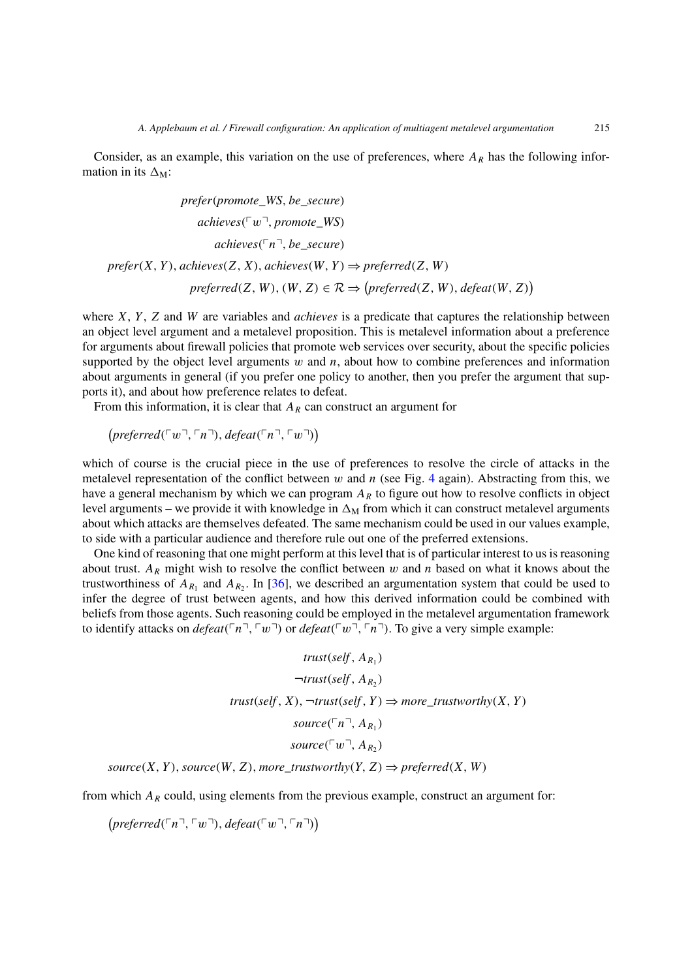Consider, as an example, this variation on the use of preferences, where  $A_R$  has the following information in its  $\Delta_M$ :

$$
prefer(promote\_WS, be\_secure)
$$
\n
$$
achieves("w-, promote\_WS)
$$
\n
$$
achieves("n-, be\_secure)
$$
\n
$$
prefer(X, Y), achieves(Z, X), achieves(W, Y) \Rightarrow preferred(Z, W)
$$
\n
$$
preferred(Z, W), (W, Z) \in \mathcal{R} \Rightarrow (preferred(Z, W), defeat(W, Z))
$$

where *X*, *Y* , *Z* and *W* are variables and *achieves* is a predicate that captures the relationship between an object level argument and a metalevel proposition. This is metalevel information about a preference for arguments about firewall policies that promote web services over security, about the specific policies supported by the object level arguments *w* and *n*, about how to combine preferences and information about arguments in general (if you prefer one policy to another, then you prefer the argument that supports it), and about how preference relates to defeat.

From this information, it is clear that  $A_R$  can construct an argument for

 $(preferred(\lceil w \rceil, \lceil n \rceil), defeat(\lceil n \rceil, \lceil w \rceil))$ 

which of course is the crucial piece in the use of preferences to resolve the circle of attacks in the metalevel representation of the conflict between *w* and *n* (see Fig. [4](#page-13-0) again). Abstracting from this, we have a general mechanism by which we can program  $A_R$  to figure out how to resolve conflicts in object level arguments – we provide it with knowledge in  $\Delta_{\rm M}$  from which it can construct metalevel arguments about which attacks are themselves defeated. The same mechanism could be used in our values example, to side with a particular audience and therefore rule out one of the preferred extensions.

One kind of reasoning that one might perform at this level that is of particular interest to us is reasoning about trust. *AR* might wish to resolve the conflict between *w* and *n* based on what it knows about the trustworthiness of  $A_{R_1}$  and  $A_{R_2}$ . In [\[36\]](#page-20-14), we described an argumentation system that could be used to infer the degree of trust between agents, and how this derived information could be combined with beliefs from those agents. Such reasoning could be employed in the metalevel argumentation framework to identify attacks on *defeat*( $\lceil n \rceil$ ,  $\lceil w \rceil$ ) or *defeat*( $\lceil w \rceil$ ,  $\lceil n \rceil$ ). To give a very simple example:

$$
trust(self, A_{R_1})
$$
  
\n¬trust(self, A\_{R\_2})  
\n
$$
trust(self, X), \neg trust(self, Y) \Rightarrow more\_trustworthy(X, Y)
$$
  
\n
$$
source(\ulcorner n \urcorner, A_{R_1})
$$
  
\n
$$
source(\ulcorner w \urcorner, A_{R_2})
$$

 $source(X, Y)$ *,*  $source(W, Z)$ *, more\_trustworthy* $(Y, Z) \Rightarrow preferred(X, W)$ 

from which  $A_R$  could, using elements from the previous example, construct an argument for:

 $(preferred(\lceil n \rceil, \lceil w \rceil), defeat(\lceil w \rceil, \lceil n \rceil))$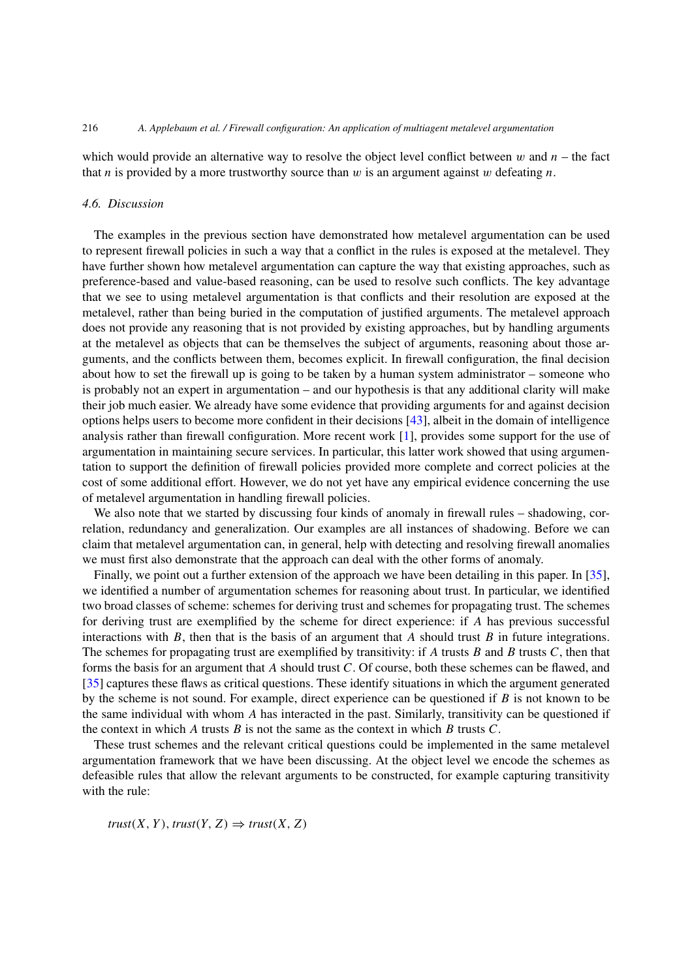which would provide an alternative way to resolve the object level conflict between  $w$  and  $n -$  the fact that *n* is provided by a more trustworthy source than *w* is an argument against *w* defeating *n*.

#### *4.6. Discussion*

The examples in the previous section have demonstrated how metalevel argumentation can be used to represent firewall policies in such a way that a conflict in the rules is exposed at the metalevel. They have further shown how metalevel argumentation can capture the way that existing approaches, such as preference-based and value-based reasoning, can be used to resolve such conflicts. The key advantage that we see to using metalevel argumentation is that conflicts and their resolution are exposed at the metalevel, rather than being buried in the computation of justified arguments. The metalevel approach does not provide any reasoning that is not provided by existing approaches, but by handling arguments at the metalevel as objects that can be themselves the subject of arguments, reasoning about those arguments, and the conflicts between them, becomes explicit. In firewall configuration, the final decision about how to set the firewall up is going to be taken by a human system administrator – someone who is probably not an expert in argumentation – and our hypothesis is that any additional clarity will make their job much easier. We already have some evidence that providing arguments for and against decision options helps users to become more confident in their decisions [\[43\]](#page-21-4), albeit in the domain of intelligence analysis rather than firewall configuration. More recent work [\[1](#page-19-7)], provides some support for the use of argumentation in maintaining secure services. In particular, this latter work showed that using argumentation to support the definition of firewall policies provided more complete and correct policies at the cost of some additional effort. However, we do not yet have any empirical evidence concerning the use of metalevel argumentation in handling firewall policies.

We also note that we started by discussing four kinds of anomaly in firewall rules – shadowing, correlation, redundancy and generalization. Our examples are all instances of shadowing. Before we can claim that metalevel argumentation can, in general, help with detecting and resolving firewall anomalies we must first also demonstrate that the approach can deal with the other forms of anomaly.

Finally, we point out a further extension of the approach we have been detailing in this paper. In [\[35](#page-20-15)], we identified a number of argumentation schemes for reasoning about trust. In particular, we identified two broad classes of scheme: schemes for deriving trust and schemes for propagating trust. The schemes for deriving trust are exemplified by the scheme for direct experience: if *A* has previous successful interactions with  $B$ , then that is the basis of an argument that  $A$  should trust  $B$  in future integrations. The schemes for propagating trust are exemplified by transitivity: if *A* trusts *B* and *B* trusts *C*, then that forms the basis for an argument that *A* should trust *C*. Of course, both these schemes can be flawed, and [\[35](#page-20-15)] captures these flaws as critical questions. These identify situations in which the argument generated by the scheme is not sound. For example, direct experience can be questioned if *B* is not known to be the same individual with whom *A* has interacted in the past. Similarly, transitivity can be questioned if the context in which *A* trusts *B* is not the same as the context in which *B* trusts *C*.

These trust schemes and the relevant critical questions could be implemented in the same metalevel argumentation framework that we have been discussing. At the object level we encode the schemes as defeasible rules that allow the relevant arguments to be constructed, for example capturing transitivity with the rule:

 $trust(X, Y), trust(Y, Z) \Rightarrow trust(X, Z)$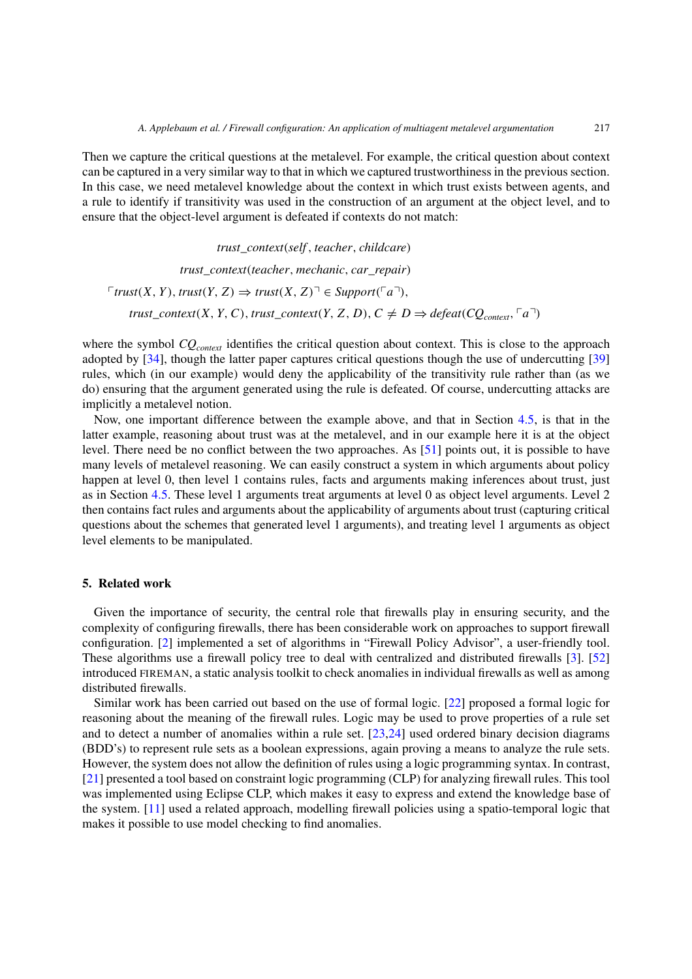Then we capture the critical questions at the metalevel. For example, the critical question about context can be captured in a very similar way to that in which we captured trustworthiness in the previous section. In this case, we need metalevel knowledge about the context in which trust exists between agents, and a rule to identify if transitivity was used in the construction of an argument at the object level, and to ensure that the object-level argument is defeated if contexts do not match:

*trust*\_*context(self, teacher, childcare) trust*\_*context(teacher, mechanic, car*\_*repair)*  $\lceil \mathit{trust}(X, Y), \mathit{trust}(Y, Z) \Rightarrow \mathit{trust}(X, Z) \rceil \in \mathit{Support}(\lceil a \rceil),$ *trust\_context*(*X, Y, C*)*, trust\_context*(*Y, Z, D*)*, C*  $\neq$  *D*  $\Rightarrow$  *defeat*(*CQ<sub>context</sub>*,  $\lceil a \rceil$ )

where the symbol *CQ<sub>context</sub>* identifies the critical question about context. This is close to the approach adopted by [\[34](#page-20-16)], though the latter paper captures critical questions though the use of undercutting [\[39\]](#page-20-6) rules, which (in our example) would deny the applicability of the transitivity rule rather than (as we do) ensuring that the argument generated using the rule is defeated. Of course, undercutting attacks are implicitly a metalevel notion.

Now, one important difference between the example above, and that in Section [4.5,](#page-14-0) is that in the latter example, reasoning about trust was at the metalevel, and in our example here it is at the object level. There need be no conflict between the two approaches. As [\[51](#page-21-5)] points out, it is possible to have many levels of metalevel reasoning. We can easily construct a system in which arguments about policy happen at level 0, then level 1 contains rules, facts and arguments making inferences about trust, just as in Section [4.5.](#page-14-0) These level 1 arguments treat arguments at level 0 as object level arguments. Level 2 then contains fact rules and arguments about the applicability of arguments about trust (capturing critical questions about the schemes that generated level 1 arguments), and treating level 1 arguments as object level elements to be manipulated.

#### <span id="page-17-0"></span>**5. Related work**

Given the importance of security, the central role that firewalls play in ensuring security, and the complexity of configuring firewalls, there has been considerable work on approaches to support firewall configuration. [\[2\]](#page-19-0) implemented a set of algorithms in "Firewall Policy Advisor", a user-friendly tool. These algorithms use a firewall policy tree to deal with centralized and distributed firewalls [\[3](#page-19-8)]. [\[52\]](#page-21-6) introduced FIREMAN, a static analysis toolkit to check anomalies in individual firewalls as well as among distributed firewalls.

Similar work has been carried out based on the use of formal logic. [\[22\]](#page-20-17) proposed a formal logic for reasoning about the meaning of the firewall rules. Logic may be used to prove properties of a rule set and to detect a number of anomalies within a rule set. [\[23](#page-20-18)[,24](#page-20-19)] used ordered binary decision diagrams (BDD's) to represent rule sets as a boolean expressions, again proving a means to analyze the rule sets. However, the system does not allow the definition of rules using a logic programming syntax. In contrast, [\[21](#page-20-20)] presented a tool based on constraint logic programming (CLP) for analyzing firewall rules. This tool was implemented using Eclipse CLP, which makes it easy to express and extend the knowledge base of the system. [\[11](#page-19-9)] used a related approach, modelling firewall policies using a spatio-temporal logic that makes it possible to use model checking to find anomalies.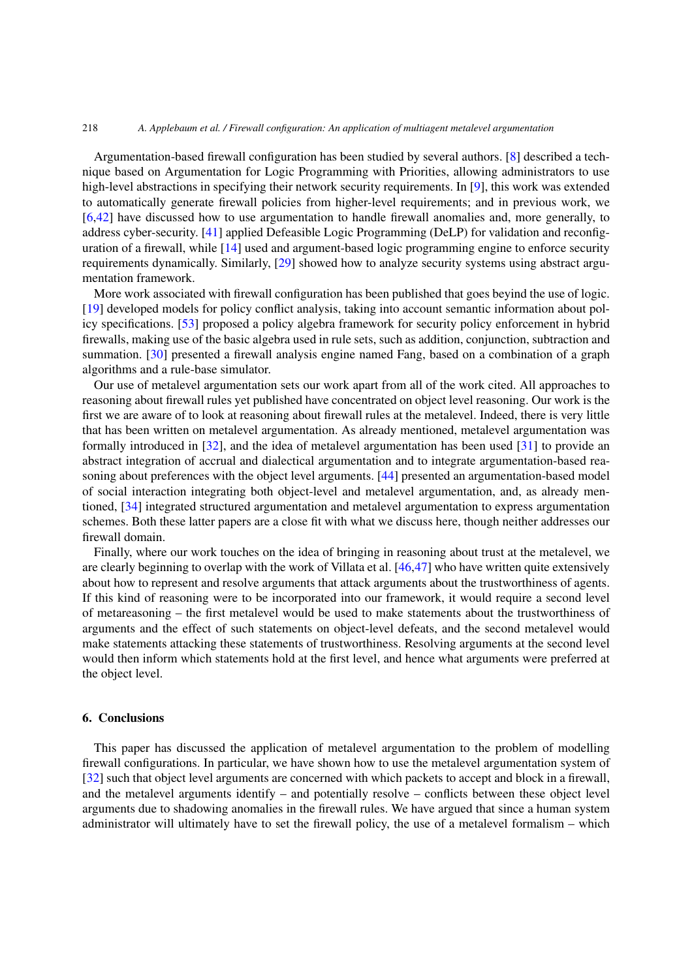Argumentation-based firewall configuration has been studied by several authors. [\[8\]](#page-19-10) described a technique based on Argumentation for Logic Programming with Priorities, allowing administrators to use high-level abstractions in specifying their network security requirements. In [\[9](#page-19-11)], this work was extended to automatically generate firewall policies from higher-level requirements; and in previous work, we [\[6](#page-19-12)[,42\]](#page-20-21) have discussed how to use argumentation to handle firewall anomalies and, more generally, to address cyber-security. [\[41\]](#page-20-22) applied Defeasible Logic Programming (DeLP) for validation and reconfiguration of a firewall, while [\[14](#page-19-13)] used and argument-based logic programming engine to enforce security requirements dynamically. Similarly, [\[29](#page-20-23)] showed how to analyze security systems using abstract argumentation framework.

More work associated with firewall configuration has been published that goes beyind the use of logic. [\[19](#page-20-24)] developed models for policy conflict analysis, taking into account semantic information about policy specifications. [\[53](#page-21-7)] proposed a policy algebra framework for security policy enforcement in hybrid firewalls, making use of the basic algebra used in rule sets, such as addition, conjunction, subtraction and summation. [\[30](#page-20-25)] presented a firewall analysis engine named Fang, based on a combination of a graph algorithms and a rule-base simulator.

Our use of metalevel argumentation sets our work apart from all of the work cited. All approaches to reasoning about firewall rules yet published have concentrated on object level reasoning. Our work is the first we are aware of to look at reasoning about firewall rules at the metalevel. Indeed, there is very little that has been written on metalevel argumentation. As already mentioned, metalevel argumentation was formally introduced in [\[32](#page-20-2)], and the idea of metalevel argumentation has been used [\[31\]](#page-20-26) to provide an abstract integration of accrual and dialectical argumentation and to integrate argumentation-based reasoning about preferences with the object level arguments. [\[44\]](#page-21-8) presented an argumentation-based model of social interaction integrating both object-level and metalevel argumentation, and, as already mentioned, [\[34\]](#page-20-16) integrated structured argumentation and metalevel argumentation to express argumentation schemes. Both these latter papers are a close fit with what we discuss here, though neither addresses our firewall domain.

Finally, where our work touches on the idea of bringing in reasoning about trust at the metalevel, we are clearly beginning to overlap with the work of Villata et al. [\[46](#page-21-9)[,47\]](#page-21-10) who have written quite extensively about how to represent and resolve arguments that attack arguments about the trustworthiness of agents. If this kind of reasoning were to be incorporated into our framework, it would require a second level of metareasoning – the first metalevel would be used to make statements about the trustworthiness of arguments and the effect of such statements on object-level defeats, and the second metalevel would make statements attacking these statements of trustworthiness. Resolving arguments at the second level would then inform which statements hold at the first level, and hence what arguments were preferred at the object level.

#### <span id="page-18-0"></span>**6. Conclusions**

This paper has discussed the application of metalevel argumentation to the problem of modelling firewall configurations. In particular, we have shown how to use the metalevel argumentation system of [\[32](#page-20-2)] such that object level arguments are concerned with which packets to accept and block in a firewall, and the metalevel arguments identify – and potentially resolve – conflicts between these object level arguments due to shadowing anomalies in the firewall rules. We have argued that since a human system administrator will ultimately have to set the firewall policy, the use of a metalevel formalism – which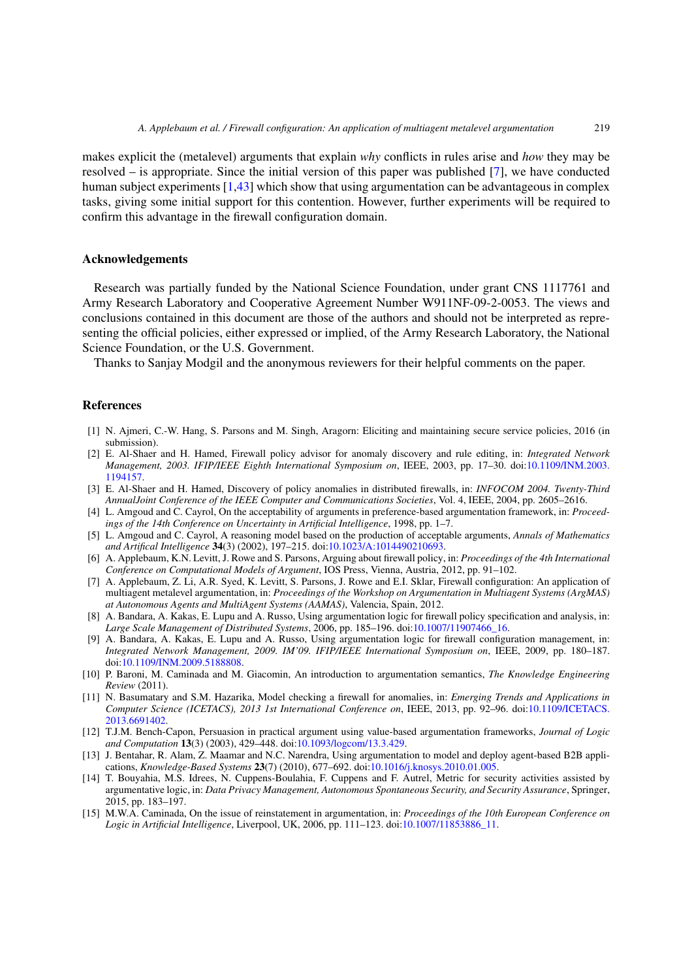makes explicit the (metalevel) arguments that explain *why* conflicts in rules arise and *how* they may be resolved – is appropriate. Since the initial version of this paper was published [\[7\]](#page-19-14), we have conducted human subject experiments [\[1](#page-19-7)[,43\]](#page-21-4) which show that using argumentation can be advantageous in complex tasks, giving some initial support for this contention. However, further experiments will be required to confirm this advantage in the firewall configuration domain.

#### **Acknowledgements**

Research was partially funded by the National Science Foundation, under grant CNS 1117761 and Army Research Laboratory and Cooperative Agreement Number W911NF-09-2-0053. The views and conclusions contained in this document are those of the authors and should not be interpreted as representing the official policies, either expressed or implied, of the Army Research Laboratory, the National Science Foundation, or the U.S. Government.

Thanks to Sanjay Modgil and the anonymous reviewers for their helpful comments on the paper.

#### **References**

- <span id="page-19-7"></span>[1] N. Ajmeri, C.-W. Hang, S. Parsons and M. Singh, Aragorn: Eliciting and maintaining secure service policies, 2016 (in submission).
- <span id="page-19-0"></span>[2] E. Al-Shaer and H. Hamed, Firewall policy advisor for anomaly discovery and rule editing, in: *Integrated Network Management, 2003. IFIP/IEEE Eighth International Symposium on*, IEEE, 2003, pp. 17–30. doi[:10.1109/INM.2003.](http://dx.doi.org/10.1109/INM.2003.1194157) [1194157.](http://dx.doi.org/10.1109/INM.2003.1194157)
- <span id="page-19-8"></span>[3] E. Al-Shaer and H. Hamed, Discovery of policy anomalies in distributed firewalls, in: *INFOCOM 2004. Twenty-Third AnnualJoint Conference of the IEEE Computer and Communications Societies*, Vol. 4, IEEE, 2004, pp. 2605–2616.
- <span id="page-19-5"></span>[4] L. Amgoud and C. Cayrol, On the acceptability of arguments in preference-based argumentation framework, in: *Proceedings of the 14th Conference on Uncertainty in Artificial Intelligence*, 1998, pp. 1–7.
- <span id="page-19-4"></span>[5] L. Amgoud and C. Cayrol, A reasoning model based on the production of acceptable arguments, *Annals of Mathematics and Artifical Intelligence* **34**(3) (2002), 197–215. doi[:10.1023/A:1014490210693.](http://dx.doi.org/10.1023/A:1014490210693)
- <span id="page-19-12"></span>[6] A. Applebaum, K.N. Levitt, J. Rowe and S. Parsons, Arguing about firewall policy, in: *Proceedings of the 4th International Conference on Computational Models of Argument*, IOS Press, Vienna, Austria, 2012, pp. 91–102.
- <span id="page-19-14"></span>[7] A. Applebaum, Z. Li, A.R. Syed, K. Levitt, S. Parsons, J. Rowe and E.I. Sklar, Firewall configuration: An application of multiagent metalevel argumentation, in: *Proceedings of the Workshop on Argumentation in Multiagent Systems (ArgMAS) at Autonomous Agents and MultiAgent Systems (AAMAS)*, Valencia, Spain, 2012.
- <span id="page-19-10"></span>[8] A. Bandara, A. Kakas, E. Lupu and A. Russo, Using argumentation logic for firewall policy specification and analysis, in: *Large Scale Management of Distributed Systems*, 2006, pp. 185–196. doi[:10.1007/11907466\\_16.](http://dx.doi.org/10.1007/11907466_16)
- <span id="page-19-11"></span>[9] A. Bandara, A. Kakas, E. Lupu and A. Russo, Using argumentation logic for firewall configuration management, in: *Integrated Network Management, 2009. IM'09. IFIP/IEEE International Symposium on*, IEEE, 2009, pp. 180–187. doi[:10.1109/INM.2009.5188808.](http://dx.doi.org/10.1109/INM.2009.5188808)
- <span id="page-19-3"></span>[10] P. Baroni, M. Caminada and M. Giacomin, An introduction to argumentation semantics, *The Knowledge Engineering Review* (2011).
- <span id="page-19-9"></span>[11] N. Basumatary and S.M. Hazarika, Model checking a firewall for anomalies, in: *Emerging Trends and Applications in Computer Science (ICETACS), 2013 1st International Conference on*, IEEE, 2013, pp. 92–96. doi[:10.1109/ICETACS.](http://dx.doi.org/10.1109/ICETACS.2013.6691402) [2013.6691402.](http://dx.doi.org/10.1109/ICETACS.2013.6691402)
- <span id="page-19-6"></span>[12] T.J.M. Bench-Capon, Persuasion in practical argument using value-based argumentation frameworks, *Journal of Logic and Computation* **13**(3) (2003), 429–448. doi[:10.1093/logcom/13.3.429.](http://dx.doi.org/10.1093/logcom/13.3.429)
- <span id="page-19-1"></span>[13] J. Bentahar, R. Alam, Z. Maamar and N.C. Narendra, Using argumentation to model and deploy agent-based B2B applications, *Knowledge-Based Systems* **23**(7) (2010), 677–692. doi[:10.1016/j.knosys.2010.01.005.](http://dx.doi.org/10.1016/j.knosys.2010.01.005)
- <span id="page-19-13"></span>[14] T. Bouyahia, M.S. Idrees, N. Cuppens-Boulahia, F. Cuppens and F. Autrel, Metric for security activities assisted by argumentative logic, in: *Data Privacy Management, Autonomous Spontaneous Security, and Security Assurance*, Springer, 2015, pp. 183–197.
- <span id="page-19-2"></span>[15] M.W.A. Caminada, On the issue of reinstatement in argumentation, in: *Proceedings of the 10th European Conference on Logic in Artificial Intelligence*, Liverpool, UK, 2006, pp. 111–123. doi[:10.1007/11853886\\_11.](http://dx.doi.org/10.1007/11853886_11)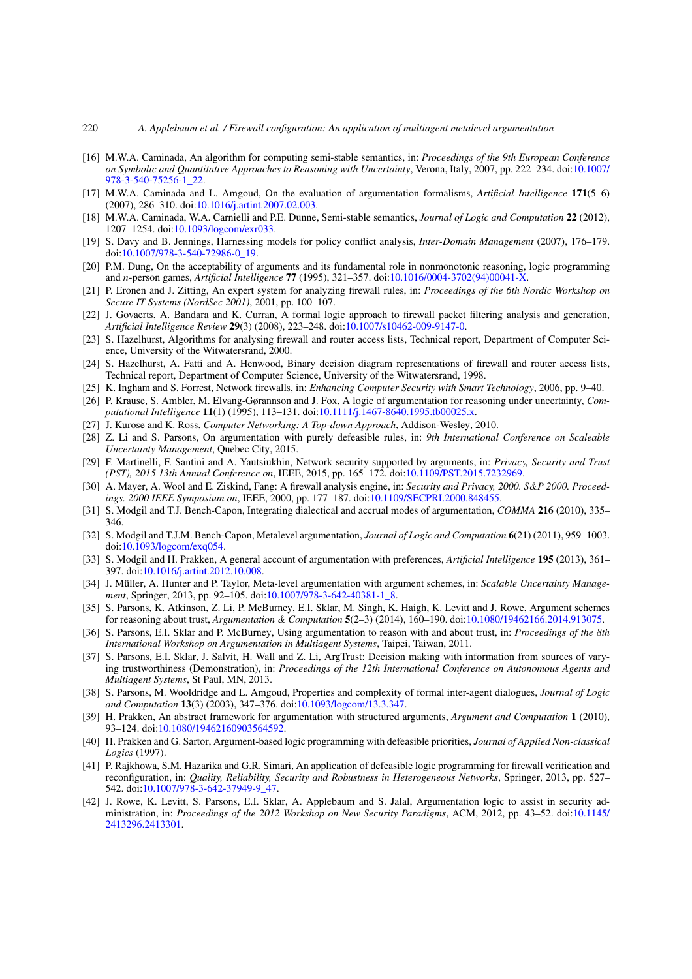- <span id="page-20-4"></span>[16] M.W.A. Caminada, An algorithm for computing semi-stable semantics, in: *Proceedings of the 9th European Conference on Symbolic and Quantitative Approaches to Reasoning with Uncertainty*, Verona, Italy, 2007, pp. 222–234. doi[:10.1007/](http://dx.doi.org/10.1007/978-3-540-75256-1_22) [978-3-540-75256-1\\_22.](http://dx.doi.org/10.1007/978-3-540-75256-1_22)
- <span id="page-20-11"></span>[17] M.W.A. Caminada and L. Amgoud, On the evaluation of argumentation formalisms, *Artificial Intelligence* **171**(5–6) (2007), 286–310. doi[:10.1016/j.artint.2007.02.003.](http://dx.doi.org/10.1016/j.artint.2007.02.003)
- <span id="page-20-7"></span>[18] M.W.A. Caminada, W.A. Carnielli and P.E. Dunne, Semi-stable semantics, *Journal of Logic and Computation* **22** (2012), 1207–1254. doi[:10.1093/logcom/exr033.](http://dx.doi.org/10.1093/logcom/exr033)
- <span id="page-20-24"></span>[19] S. Davy and B. Jennings, Harnessing models for policy conflict analysis, *Inter-Domain Management* (2007), 176–179. doi[:10.1007/978-3-540-72986-0\\_19.](http://dx.doi.org/10.1007/978-3-540-72986-0_19)
- <span id="page-20-3"></span>[20] P.M. Dung, On the acceptability of arguments and its fundamental role in nonmonotonic reasoning, logic programming and *n*-person games, *Artificial Intelligence* **77** (1995), 321–357. doi[:10.1016/0004-3702\(94\)00041-X.](http://dx.doi.org/10.1016/0004-3702(94)00041-X)
- <span id="page-20-20"></span>[21] P. Eronen and J. Zitting, An expert system for analyzing firewall rules, in: *Proceedings of the 6th Nordic Workshop on Secure IT Systems (NordSec 2001)*, 2001, pp. 100–107.
- <span id="page-20-17"></span>[22] J. Govaerts, A. Bandara and K. Curran, A formal logic approach to firewall packet filtering analysis and generation, *Artificial Intelligence Review* **29**(3) (2008), 223–248. doi[:10.1007/s10462-009-9147-0.](http://dx.doi.org/10.1007/s10462-009-9147-0)
- <span id="page-20-18"></span>[23] S. Hazelhurst, Algorithms for analysing firewall and router access lists, Technical report, Department of Computer Science, University of the Witwatersrand, 2000.
- <span id="page-20-19"></span>[24] S. Hazelhurst, A. Fatti and A. Henwood, Binary decision diagram representations of firewall and router access lists, Technical report, Department of Computer Science, University of the Witwatersrand, 1998.
- <span id="page-20-0"></span>[25] K. Ingham and S. Forrest, Network firewalls, in: *Enhancing Computer Security with Smart Technology*, 2006, pp. 9–40.
- <span id="page-20-5"></span>[26] P. Krause, S. Ambler, M. Elvang-Gørannson and J. Fox, A logic of argumentation for reasoning under uncertainty, *Computational Intelligence* **11**(1) (1995), 113–131. doi[:10.1111/j.1467-8640.1995.tb00025.x.](http://dx.doi.org/10.1111/j.1467-8640.1995.tb00025.x)
- <span id="page-20-1"></span>[27] J. Kurose and K. Ross, *Computer Networking: A Top-down Approach*, Addison-Wesley, 2010.
- <span id="page-20-8"></span>[28] Z. Li and S. Parsons, On argumentation with purely defeasible rules, in: *9th International Conference on Scaleable Uncertainty Management*, Quebec City, 2015.
- <span id="page-20-23"></span>[29] F. Martinelli, F. Santini and A. Yautsiukhin, Network security supported by arguments, in: *Privacy, Security and Trust (PST), 2015 13th Annual Conference on*, IEEE, 2015, pp. 165–172. doi[:10.1109/PST.2015.7232969.](http://dx.doi.org/10.1109/PST.2015.7232969)
- <span id="page-20-25"></span>[30] A. Mayer, A. Wool and E. Ziskind, Fang: A firewall analysis engine, in: *Security and Privacy, 2000. S&P 2000. Proceedings. 2000 IEEE Symposium on*, IEEE, 2000, pp. 177–187. doi[:10.1109/SECPRI.2000.848455.](http://dx.doi.org/10.1109/SECPRI.2000.848455)
- <span id="page-20-26"></span>[31] S. Modgil and T.J. Bench-Capon, Integrating dialectical and accrual modes of argumentation, *COMMA* **216** (2010), 335– 346.
- <span id="page-20-2"></span>[32] S. Modgil and T.J.M. Bench-Capon, Metalevel argumentation, *Journal of Logic and Computation* **6**(21) (2011), 959–1003. doi[:10.1093/logcom/exq054.](http://dx.doi.org/10.1093/logcom/exq054)
- <span id="page-20-9"></span>[33] S. Modgil and H. Prakken, A general account of argumentation with preferences, *Artificial Intelligence* **195** (2013), 361– 397. doi[:10.1016/j.artint.2012.10.008.](http://dx.doi.org/10.1016/j.artint.2012.10.008)
- <span id="page-20-16"></span>[34] J. Müller, A. Hunter and P. Taylor, Meta-level argumentation with argument schemes, in: *Scalable Uncertainty Management*, Springer, 2013, pp. 92–105. doi[:10.1007/978-3-642-40381-1\\_8.](http://dx.doi.org/10.1007/978-3-642-40381-1_8)
- <span id="page-20-15"></span>[35] S. Parsons, K. Atkinson, Z. Li, P. McBurney, E.I. Sklar, M. Singh, K. Haigh, K. Levitt and J. Rowe, Argument schemes for reasoning about trust, *Argumentation & Computation* **5**(2–3) (2014), 160–190. doi[:10.1080/19462166.2014.913075.](http://dx.doi.org/10.1080/19462166.2014.913075)
- <span id="page-20-14"></span>[36] S. Parsons, E.I. Sklar and P. McBurney, Using argumentation to reason with and about trust, in: *Proceedings of the 8th International Workshop on Argumentation in Multiagent Systems*, Taipei, Taiwan, 2011.
- <span id="page-20-12"></span>[37] S. Parsons, E.I. Sklar, J. Salvit, H. Wall and Z. Li, ArgTrust: Decision making with information from sources of varying trustworthiness (Demonstration), in: *Proceedings of the 12th International Conference on Autonomous Agents and Multiagent Systems*, St Paul, MN, 2013.
- <span id="page-20-10"></span>[38] S. Parsons, M. Wooldridge and L. Amgoud, Properties and complexity of formal inter-agent dialogues, *Journal of Logic and Computation* **13**(3) (2003), 347–376. doi[:10.1093/logcom/13.3.347.](http://dx.doi.org/10.1093/logcom/13.3.347)
- <span id="page-20-6"></span>[39] H. Prakken, An abstract framework for argumentation with structured arguments, *Argument and Computation* **1** (2010), 93–124. doi[:10.1080/19462160903564592.](http://dx.doi.org/10.1080/19462160903564592)
- <span id="page-20-13"></span>[40] H. Prakken and G. Sartor, Argument-based logic programming with defeasible priorities, *Journal of Applied Non-classical Logics* (1997).
- <span id="page-20-22"></span>[41] P. Rajkhowa, S.M. Hazarika and G.R. Simari, An application of defeasible logic programming for firewall verification and reconfiguration, in: *Quality, Reliability, Security and Robustness in Heterogeneous Networks*, Springer, 2013, pp. 527– 542. doi[:10.1007/978-3-642-37949-9\\_47.](http://dx.doi.org/10.1007/978-3-642-37949-9_47)
- <span id="page-20-21"></span>[42] J. Rowe, K. Levitt, S. Parsons, E.I. Sklar, A. Applebaum and S. Jalal, Argumentation logic to assist in security administration, in: *Proceedings of the 2012 Workshop on New Security Paradigms*, ACM, 2012, pp. 43–52. doi[:10.1145/](http://dx.doi.org/10.1145/2413296.2413301) [2413296.2413301.](http://dx.doi.org/10.1145/2413296.2413301)